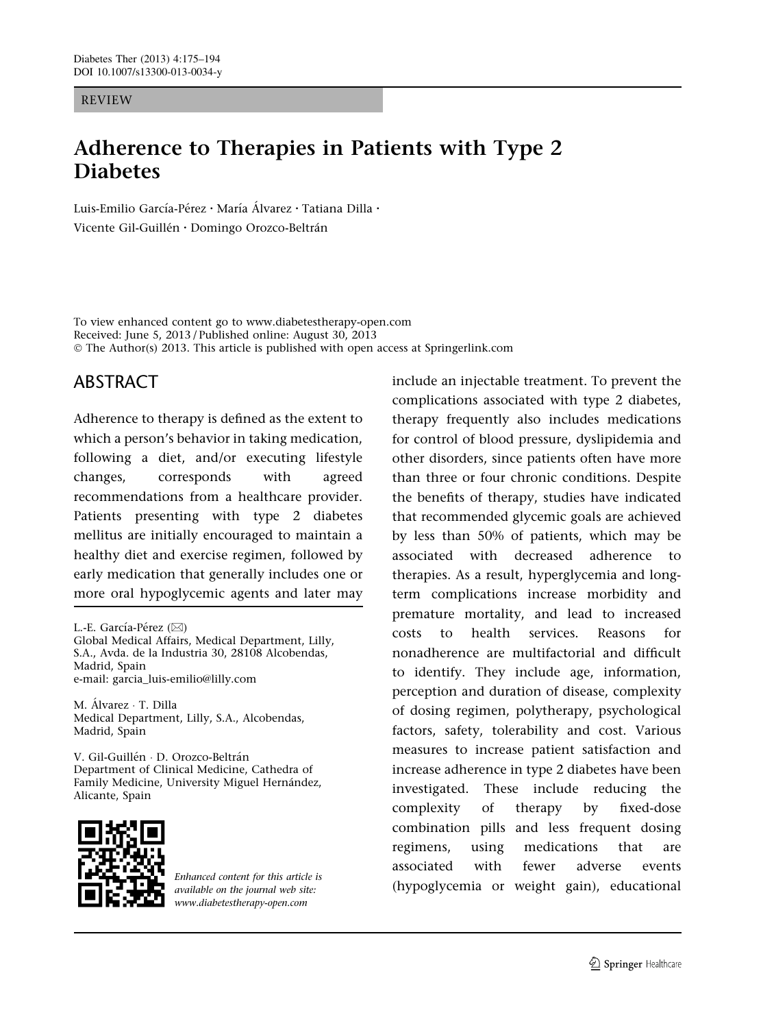#### REVIEW

# Adherence to Therapies in Patients with Type 2 **Diabetes**

Luis-Emilio García-Pérez • María Álvarez • Tatiana Dilla • Vicente Gil-Guillén · Domingo Orozco-Beltrán

To view enhanced content go to www.diabetestherapy-open.com Received: June 5, 2013 / Published online: August 30, 2013 © The Author(s) 2013. This article is published with open access at Springerlink.com

# ABSTRACT

Adherence to therapy is defined as the extent to which a person's behavior in taking medication, following a diet, and/or executing lifestyle changes, corresponds with agreed recommendations from a healthcare provider. Patients presenting with type 2 diabetes mellitus are initially encouraged to maintain a healthy diet and exercise regimen, followed by early medication that generally includes one or more oral hypoglycemic agents and later may

L.-E. García-Pérez  $(\boxtimes)$ Global Medical Affairs, Medical Department, Lilly, S.A., Avda. de la Industria 30, 28108 Alcobendas, Madrid, Spain e-mail: garcia\_luis-emilio@lilly.com

M. Álvarez · T. Dilla Medical Department, Lilly, S.A., Alcobendas, Madrid, Spain

V. Gil-Guillén · D. Orozco-Beltrán Department of Clinical Medicine, Cathedra of Family Medicine, University Miguel Hernández, Alicante, Spain



Enhanced content for this article is available on the journal web site: www.diabetestherapy-open.com

include an injectable treatment. To prevent the complications associated with type 2 diabetes, therapy frequently also includes medications for control of blood pressure, dyslipidemia and other disorders, since patients often have more than three or four chronic conditions. Despite the benefits of therapy, studies have indicated that recommended glycemic goals are achieved by less than 50% of patients, which may be associated with decreased adherence to therapies. As a result, hyperglycemia and longterm complications increase morbidity and premature mortality, and lead to increased costs to health services. Reasons for nonadherence are multifactorial and difficult to identify. They include age, information, perception and duration of disease, complexity of dosing regimen, polytherapy, psychological factors, safety, tolerability and cost. Various measures to increase patient satisfaction and increase adherence in type 2 diabetes have been investigated. These include reducing the complexity of therapy by fixed-dose combination pills and less frequent dosing regimens, using medications that are associated with fewer adverse events (hypoglycemia or weight gain), educational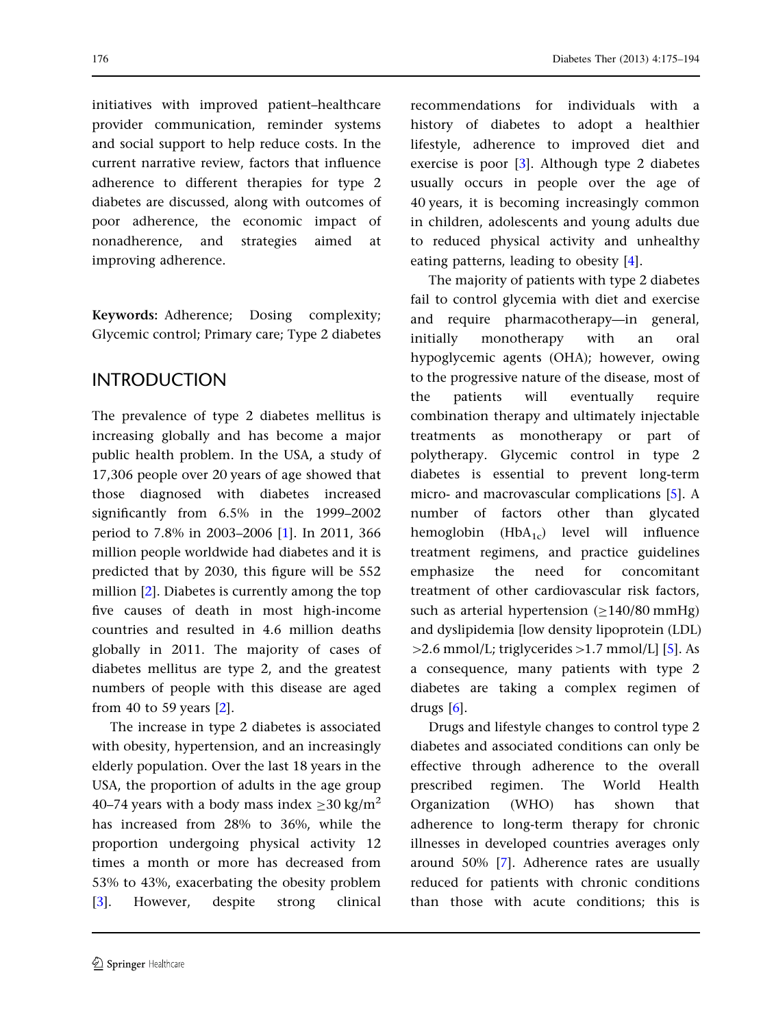initiatives with improved patient–healthcare provider communication, reminder systems and social support to help reduce costs. In the current narrative review, factors that influence adherence to different therapies for type 2 diabetes are discussed, along with outcomes of poor adherence, the economic impact of nonadherence, and strategies aimed at improving adherence.

Keywords: Adherence; Dosing complexity; Glycemic control; Primary care; Type 2 diabetes

# INTRODUCTION

The prevalence of type 2 diabetes mellitus is increasing globally and has become a major public health problem. In the USA, a study of 17,306 people over 20 years of age showed that those diagnosed with diabetes increased significantly from 6.5% in the 1999–2002 period to 7.8% in 2003–2006 [[1\]](#page-15-0). In 2011, 366 million people worldwide had diabetes and it is predicted that by 2030, this figure will be 552 million [\[2](#page-15-0)]. Diabetes is currently among the top five causes of death in most high-income countries and resulted in 4.6 million deaths globally in 2011. The majority of cases of diabetes mellitus are type 2, and the greatest numbers of people with this disease are aged from 40 to 59 years [[2](#page-15-0)].

The increase in type 2 diabetes is associated with obesity, hypertension, and an increasingly elderly population. Over the last 18 years in the USA, the proportion of adults in the age group 40–74 years with a body mass index  $\geq$ 30 kg/m<sup>2</sup> has increased from 28% to 36%, while the proportion undergoing physical activity 12 times a month or more has decreased from 53% to 43%, exacerbating the obesity problem [\[3\]](#page-15-0). However, despite strong clinical

recommendations for individuals with a history of diabetes to adopt a healthier lifestyle, adherence to improved diet and exercise is poor [\[3](#page-15-0)]. Although type 2 diabetes usually occurs in people over the age of 40 years, it is becoming increasingly common in children, adolescents and young adults due to reduced physical activity and unhealthy eating patterns, leading to obesity [[4\]](#page-15-0).

The majority of patients with type 2 diabetes fail to control glycemia with diet and exercise and require pharmacotherapy—in general, initially monotherapy with an oral hypoglycemic agents (OHA); however, owing to the progressive nature of the disease, most of the patients will eventually require combination therapy and ultimately injectable treatments as monotherapy or part of polytherapy. Glycemic control in type 2 diabetes is essential to prevent long-term micro- and macrovascular complications [[5\]](#page-15-0). A number of factors other than glycated hemoglobin  $(HbA_{1c})$  level will influence treatment regimens, and practice guidelines emphasize the need for concomitant treatment of other cardiovascular risk factors, such as arterial hypertension  $(\geq 140/80 \text{ mmHg})$ and dyslipidemia [low density lipoprotein (LDL)  $>2.6$  mmol/L; triglycerides  $>1.7$  mmol/L] [\[5\]](#page-15-0). As a consequence, many patients with type 2 diabetes are taking a complex regimen of drugs  $[6]$ .

Drugs and lifestyle changes to control type 2 diabetes and associated conditions can only be effective through adherence to the overall prescribed regimen. The World Health Organization (WHO) has shown that adherence to long-term therapy for chronic illnesses in developed countries averages only around 50% [[7\]](#page-15-0). Adherence rates are usually reduced for patients with chronic conditions than those with acute conditions; this is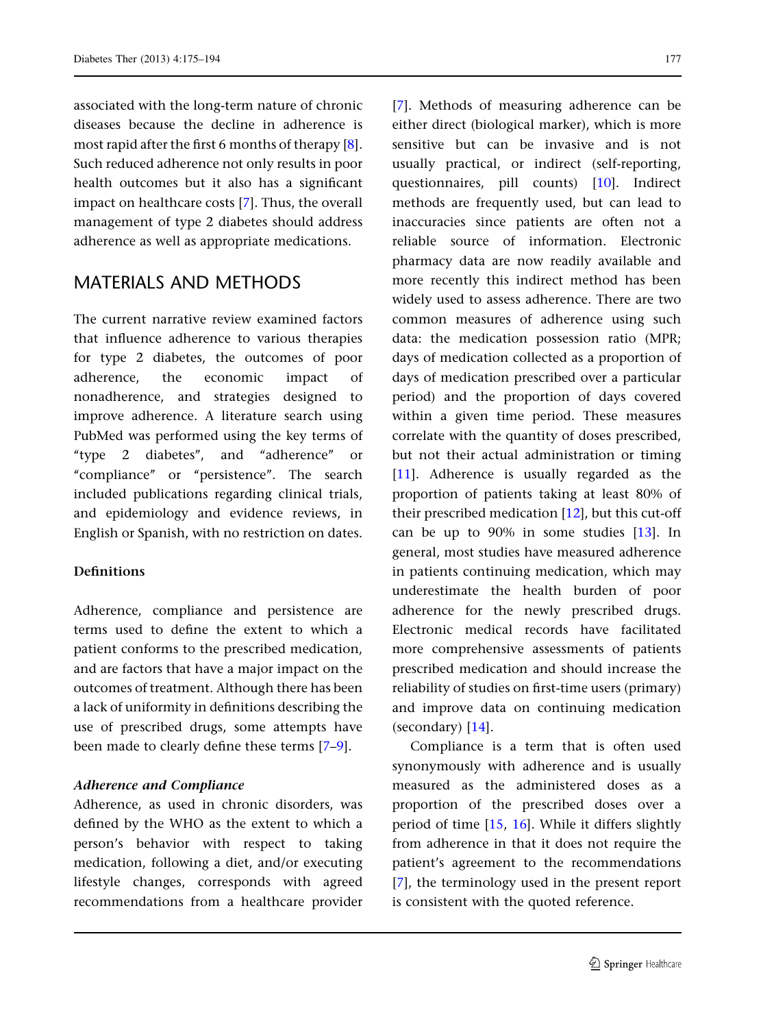associated with the long-term nature of chronic diseases because the decline in adherence is most rapid after the first 6 months of therapy [\[8\]](#page-15-0). Such reduced adherence not only results in poor health outcomes but it also has a significant impact on healthcare costs [[7](#page-15-0)]. Thus, the overall management of type 2 diabetes should address adherence as well as appropriate medications.

# MATERIALS AND METHODS

The current narrative review examined factors that influence adherence to various therapies for type 2 diabetes, the outcomes of poor adherence, the economic impact of nonadherence, and strategies designed to improve adherence. A literature search using PubMed was performed using the key terms of " $type$  2 diabetes", and "adherence" "compliance" or "persistence". The search included publications regarding clinical trials, and epidemiology and evidence reviews, in English or Spanish, with no restriction on dates.

### **Definitions**

Adherence, compliance and persistence are terms used to define the extent to which a patient conforms to the prescribed medication, and are factors that have a major impact on the outcomes of treatment. Although there has been a lack of uniformity in definitions describing the use of prescribed drugs, some attempts have been made to clearly define these terms [\[7–9\]](#page-15-0).

## Adherence and Compliance

Adherence, as used in chronic disorders, was defined by the WHO as the extent to which a person's behavior with respect to taking medication, following a diet, and/or executing lifestyle changes, corresponds with agreed recommendations from a healthcare provider [\[7\]](#page-15-0). Methods of measuring adherence can be either direct (biological marker), which is more sensitive but can be invasive and is not usually practical, or indirect (self-reporting, questionnaires, pill counts) [\[10\]](#page-15-0). Indirect methods are frequently used, but can lead to inaccuracies since patients are often not a reliable source of information. Electronic pharmacy data are now readily available and more recently this indirect method has been widely used to assess adherence. There are two common measures of adherence using such data: the medication possession ratio (MPR; days of medication collected as a proportion of days of medication prescribed over a particular period) and the proportion of days covered within a given time period. These measures correlate with the quantity of doses prescribed, but not their actual administration or timing [\[11\]](#page-15-0). Adherence is usually regarded as the proportion of patients taking at least 80% of their prescribed medication [\[12\]](#page-15-0), but this cut-off can be up to 90% in some studies [\[13\]](#page-15-0). In general, most studies have measured adherence in patients continuing medication, which may underestimate the health burden of poor adherence for the newly prescribed drugs. Electronic medical records have facilitated more comprehensive assessments of patients prescribed medication and should increase the reliability of studies on first-time users (primary) and improve data on continuing medication (secondary) [\[14\]](#page-15-0).

Compliance is a term that is often used synonymously with adherence and is usually measured as the administered doses as a proportion of the prescribed doses over a period of time [\[15,](#page-15-0) [16\]](#page-15-0). While it differs slightly from adherence in that it does not require the patient's agreement to the recommendations [\[7\]](#page-15-0), the terminology used in the present report is consistent with the quoted reference.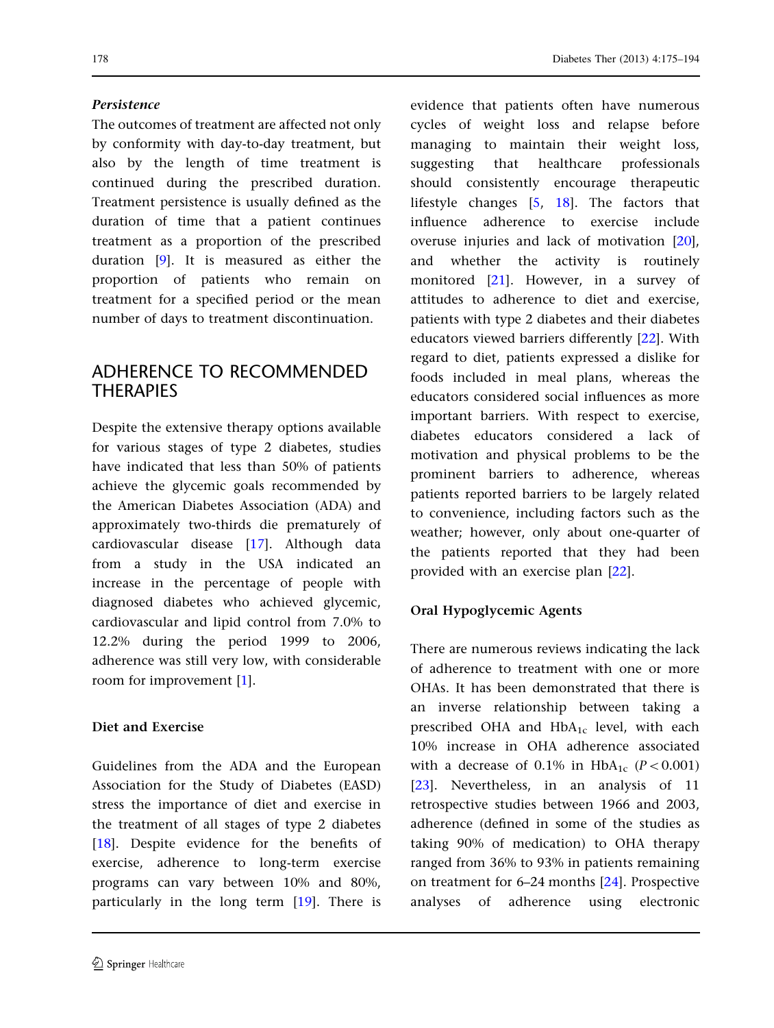### Persistence

The outcomes of treatment are affected not only by conformity with day-to-day treatment, but also by the length of time treatment is continued during the prescribed duration. Treatment persistence is usually defined as the duration of time that a patient continues treatment as a proportion of the prescribed duration [[9](#page-15-0)]. It is measured as either the proportion of patients who remain on treatment for a specified period or the mean number of days to treatment discontinuation.

# ADHERENCE TO RECOMMENDED **THERAPIES**

Despite the extensive therapy options available for various stages of type 2 diabetes, studies have indicated that less than 50% of patients achieve the glycemic goals recommended by the American Diabetes Association (ADA) and approximately two-thirds die prematurely of cardiovascular disease [\[17\]](#page-16-0). Although data from a study in the USA indicated an increase in the percentage of people with diagnosed diabetes who achieved glycemic, cardiovascular and lipid control from 7.0% to 12.2% during the period 1999 to 2006, adherence was still very low, with considerable room for improvement [\[1\]](#page-15-0).

### Diet and Exercise

Guidelines from the ADA and the European Association for the Study of Diabetes (EASD) stress the importance of diet and exercise in the treatment of all stages of type 2 diabetes [\[18\]](#page-16-0). Despite evidence for the benefits of exercise, adherence to long-term exercise programs can vary between 10% and 80%, particularly in the long term [[19](#page-16-0)]. There is

evidence that patients often have numerous cycles of weight loss and relapse before managing to maintain their weight loss, suggesting that healthcare professionals should consistently encourage therapeutic lifestyle changes [\[5,](#page-15-0) [18\]](#page-16-0). The factors that influence adherence to exercise include overuse injuries and lack of motivation [[20](#page-16-0)], and whether the activity is routinely monitored [[21](#page-16-0)]. However, in a survey of attitudes to adherence to diet and exercise, patients with type 2 diabetes and their diabetes educators viewed barriers differently [[22](#page-16-0)]. With regard to diet, patients expressed a dislike for foods included in meal plans, whereas the educators considered social influences as more important barriers. With respect to exercise, diabetes educators considered a lack of motivation and physical problems to be the prominent barriers to adherence, whereas patients reported barriers to be largely related to convenience, including factors such as the weather; however, only about one-quarter of the patients reported that they had been provided with an exercise plan [\[22\]](#page-16-0).

# Oral Hypoglycemic Agents

There are numerous reviews indicating the lack of adherence to treatment with one or more OHAs. It has been demonstrated that there is an inverse relationship between taking a prescribed OHA and  $HbA_{1c}$  level, with each 10% increase in OHA adherence associated with a decrease of 0.1% in  $HbA_{1c}$  ( $P<0.001$ ) [\[23\]](#page-16-0). Nevertheless, in an analysis of 11 retrospective studies between 1966 and 2003, adherence (defined in some of the studies as taking 90% of medication) to OHA therapy ranged from 36% to 93% in patients remaining on treatment for 6–24 months [[24](#page-16-0)]. Prospective analyses of adherence using electronic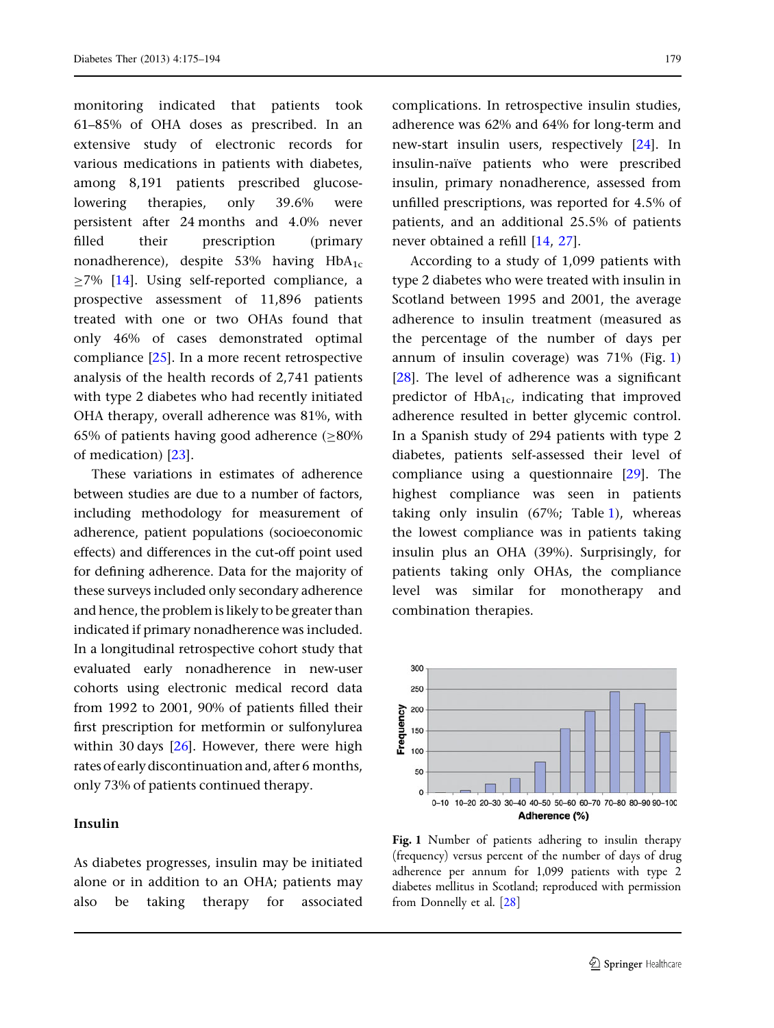monitoring indicated that patients took 61–85% of OHA doses as prescribed. In an extensive study of electronic records for various medications in patients with diabetes, among 8,191 patients prescribed glucoselowering therapies, only 39.6% were persistent after 24 months and 4.0% never filled their prescription (primary nonadherence), despite 53% having  $HbA_{1c}$  $\geq$ 7% [[14](#page-15-0)]. Using self-reported compliance, a prospective assessment of 11,896 patients treated with one or two OHAs found that only 46% of cases demonstrated optimal compliance [\[25\]](#page-16-0). In a more recent retrospective analysis of the health records of 2,741 patients with type 2 diabetes who had recently initiated OHA therapy, overall adherence was 81%, with 65% of patients having good adherence  $(≥80%$ of medication) [[23](#page-16-0)].

These variations in estimates of adherence between studies are due to a number of factors, including methodology for measurement of adherence, patient populations (socioeconomic effects) and differences in the cut-off point used for defining adherence. Data for the majority of these surveys included only secondary adherence and hence, the problem is likely to be greater than indicated if primary nonadherence was included. In a longitudinal retrospective cohort study that evaluated early nonadherence in new-user cohorts using electronic medical record data from 1992 to 2001, 90% of patients filled their first prescription for metformin or sulfonylurea within 30 days  $[26]$  $[26]$ . However, there were high rates of early discontinuation and, after 6 months, only 73% of patients continued therapy.

### Insulin

As diabetes progresses, insulin may be initiated alone or in addition to an OHA; patients may also be taking therapy for associated complications. In retrospective insulin studies, adherence was 62% and 64% for long-term and new-start insulin users, respectively [[24](#page-16-0)]. In insulin-naïve patients who were prescribed insulin, primary nonadherence, assessed from unfilled prescriptions, was reported for 4.5% of patients, and an additional 25.5% of patients never obtained a refill [\[14](#page-15-0), [27](#page-16-0)].

According to a study of 1,099 patients with type 2 diabetes who were treated with insulin in Scotland between 1995 and 2001, the average adherence to insulin treatment (measured as the percentage of the number of days per annum of insulin coverage) was 71% (Fig. 1) [\[28\]](#page-16-0). The level of adherence was a significant predictor of  $HbA_{1c}$ , indicating that improved adherence resulted in better glycemic control. In a Spanish study of 294 patients with type 2 diabetes, patients self-assessed their level of compliance using a questionnaire [[29](#page-16-0)]. The highest compliance was seen in patients taking only insulin (67%; Table [1](#page-5-0)), whereas the lowest compliance was in patients taking insulin plus an OHA (39%). Surprisingly, for patients taking only OHAs, the compliance level was similar for monotherapy and combination therapies.



Fig. 1 Number of patients adhering to insulin therapy (frequency) versus percent of the number of days of drug adherence per annum for 1,099 patients with type 2 diabetes mellitus in Scotland; reproduced with permission from Donnelly et al. [[28](#page-16-0)]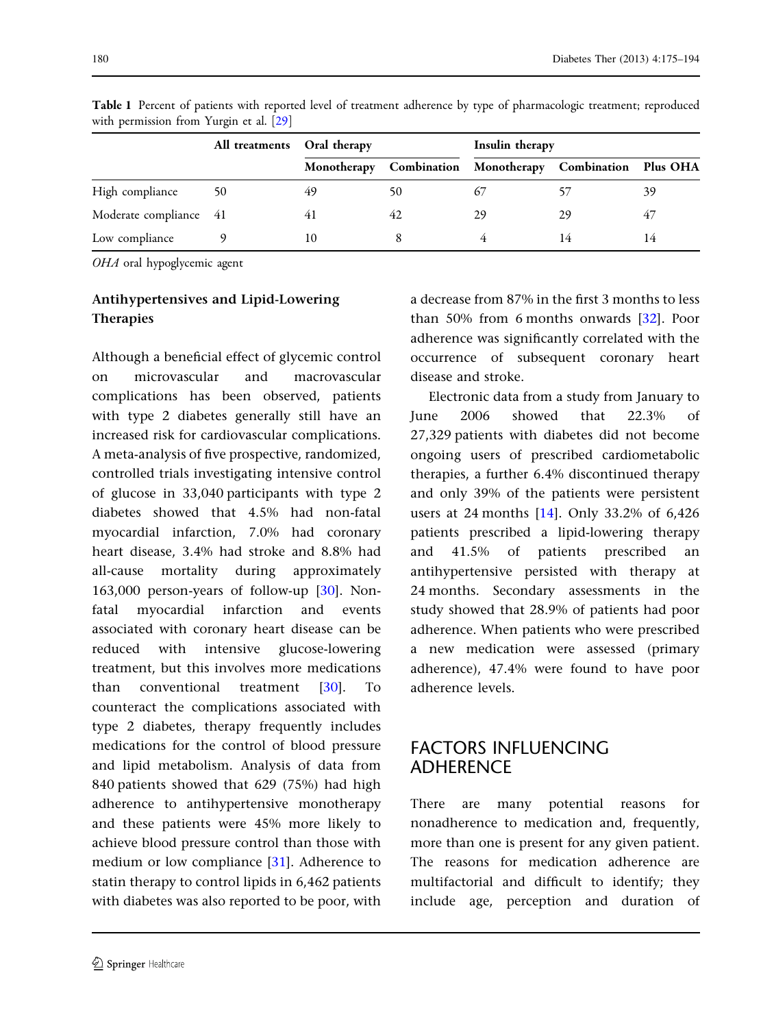|                        | All treatments Oral therapy |     |    | Insulin therapy                                          |    |    |
|------------------------|-----------------------------|-----|----|----------------------------------------------------------|----|----|
|                        |                             |     |    | Monotherapy Combination Monotherapy Combination Plus OHA |    |    |
| High compliance        | 50                          | 49  | 50 |                                                          |    | 39 |
| Moderate compliance 41 |                             | 4 I | 42 | 29                                                       | 29 | 47 |
| Low compliance         |                             | 10  |    |                                                          |    |    |

<span id="page-5-0"></span>Table 1 Percent of patients with reported level of treatment adherence by type of pharmacologic treatment; reproduced with permission from Yurgin et al. [\[29\]](#page-16-0)

OHA oral hypoglycemic agent

### Antihypertensives and Lipid-Lowering Therapies

Although a beneficial effect of glycemic control on microvascular and macrovascular complications has been observed, patients with type 2 diabetes generally still have an increased risk for cardiovascular complications. A meta-analysis of five prospective, randomized, controlled trials investigating intensive control of glucose in 33,040 participants with type 2 diabetes showed that 4.5% had non-fatal myocardial infarction, 7.0% had coronary heart disease, 3.4% had stroke and 8.8% had all-cause mortality during approximately 163,000 person-years of follow-up [\[30\]](#page-16-0). Nonfatal myocardial infarction and events associated with coronary heart disease can be reduced with intensive glucose-lowering treatment, but this involves more medications than conventional treatment [[30](#page-16-0)]. To counteract the complications associated with type 2 diabetes, therapy frequently includes medications for the control of blood pressure and lipid metabolism. Analysis of data from 840 patients showed that 629 (75%) had high adherence to antihypertensive monotherapy and these patients were 45% more likely to achieve blood pressure control than those with medium or low compliance [[31](#page-16-0)]. Adherence to statin therapy to control lipids in 6,462 patients with diabetes was also reported to be poor, with a decrease from 87% in the first 3 months to less than 50% from 6 months onwards [\[32\]](#page-16-0). Poor adherence was significantly correlated with the occurrence of subsequent coronary heart disease and stroke.

Electronic data from a study from January to June 2006 showed that 22.3% of 27,329 patients with diabetes did not become ongoing users of prescribed cardiometabolic therapies, a further 6.4% discontinued therapy and only 39% of the patients were persistent users at 24 months [\[14\]](#page-15-0). Only 33.2% of 6,426 patients prescribed a lipid-lowering therapy and 41.5% of patients prescribed an antihypertensive persisted with therapy at 24 months. Secondary assessments in the study showed that 28.9% of patients had poor adherence. When patients who were prescribed a new medication were assessed (primary adherence), 47.4% were found to have poor adherence levels.

# FACTORS INFLUENCING ADHERENCE

There are many potential reasons for nonadherence to medication and, frequently, more than one is present for any given patient. The reasons for medication adherence are multifactorial and difficult to identify; they include age, perception and duration of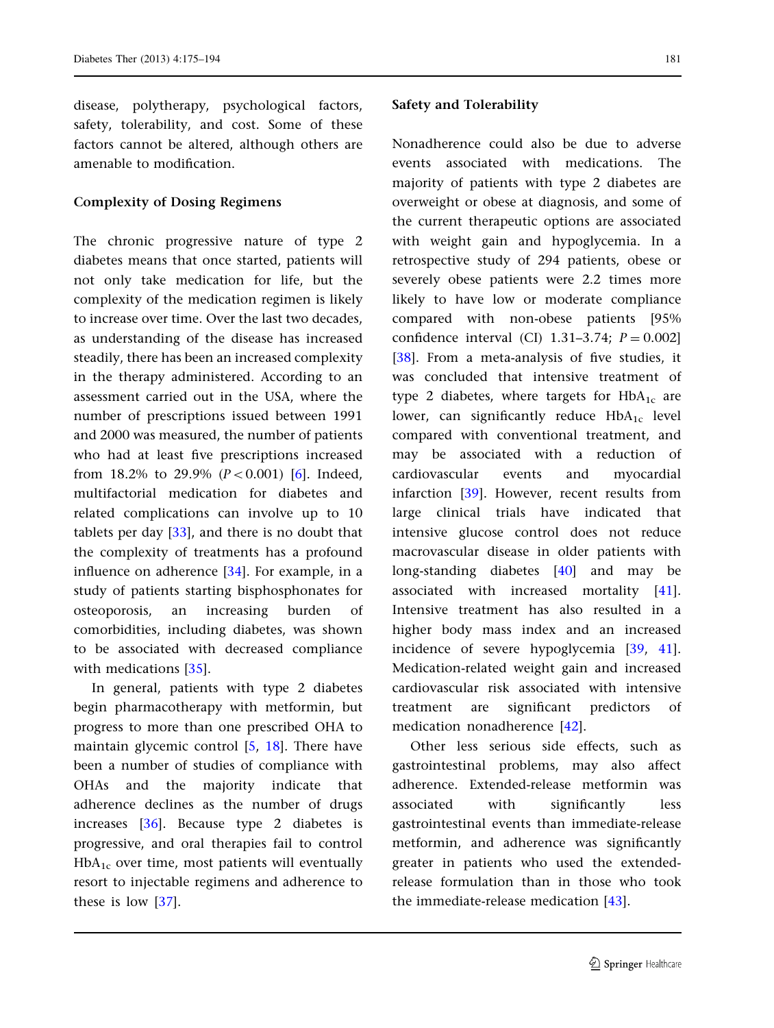disease, polytherapy, psychological factors, safety, tolerability, and cost. Some of these factors cannot be altered, although others are amenable to modification.

### Complexity of Dosing Regimens

The chronic progressive nature of type 2 diabetes means that once started, patients will not only take medication for life, but the complexity of the medication regimen is likely to increase over time. Over the last two decades, as understanding of the disease has increased steadily, there has been an increased complexity in the therapy administered. According to an assessment carried out in the USA, where the number of prescriptions issued between 1991 and 2000 was measured, the number of patients who had at least five prescriptions increased from 18.2% to 29.9%  $(P<0.001)$  [[6\]](#page-15-0). Indeed, multifactorial medication for diabetes and related complications can involve up to 10 tablets per day [\[33\]](#page-16-0), and there is no doubt that the complexity of treatments has a profound influence on adherence [[34](#page-16-0)]. For example, in a study of patients starting bisphosphonates for osteoporosis, an increasing burden of comorbidities, including diabetes, was shown to be associated with decreased compliance with medications [[35](#page-16-0)].

In general, patients with type 2 diabetes begin pharmacotherapy with metformin, but progress to more than one prescribed OHA to maintain glycemic control [\[5,](#page-15-0) [18\]](#page-16-0). There have been a number of studies of compliance with OHAs and the majority indicate that adherence declines as the number of drugs increases [\[36\]](#page-16-0). Because type 2 diabetes is progressive, and oral therapies fail to control  $HbA_{1c}$  over time, most patients will eventually resort to injectable regimens and adherence to these is low [[37](#page-16-0)].

### Safety and Tolerability

Nonadherence could also be due to adverse events associated with medications. The majority of patients with type 2 diabetes are overweight or obese at diagnosis, and some of the current therapeutic options are associated with weight gain and hypoglycemia. In a retrospective study of 294 patients, obese or severely obese patients were 2.2 times more likely to have low or moderate compliance compared with non-obese patients [95% confidence interval (CI)  $1.31-3.74$ ;  $P = 0.002$ ] [\[38\]](#page-16-0). From a meta-analysis of five studies, it was concluded that intensive treatment of type 2 diabetes, where targets for  $HbA_{1c}$  are lower, can significantly reduce  $HbA_{1c}$  level compared with conventional treatment, and may be associated with a reduction of cardiovascular events and myocardial infarction [\[39\]](#page-16-0). However, recent results from large clinical trials have indicated that intensive glucose control does not reduce macrovascular disease in older patients with long-standing diabetes [\[40\]](#page-16-0) and may be associated with increased mortality [[41](#page-17-0)]. Intensive treatment has also resulted in a higher body mass index and an increased incidence of severe hypoglycemia [[39](#page-16-0), [41](#page-17-0)]. Medication-related weight gain and increased cardiovascular risk associated with intensive treatment are significant predictors of medication nonadherence [\[42](#page-17-0)].

Other less serious side effects, such as gastrointestinal problems, may also affect adherence. Extended-release metformin was associated with significantly less gastrointestinal events than immediate-release metformin, and adherence was significantly greater in patients who used the extendedrelease formulation than in those who took the immediate-release medication [[43](#page-17-0)].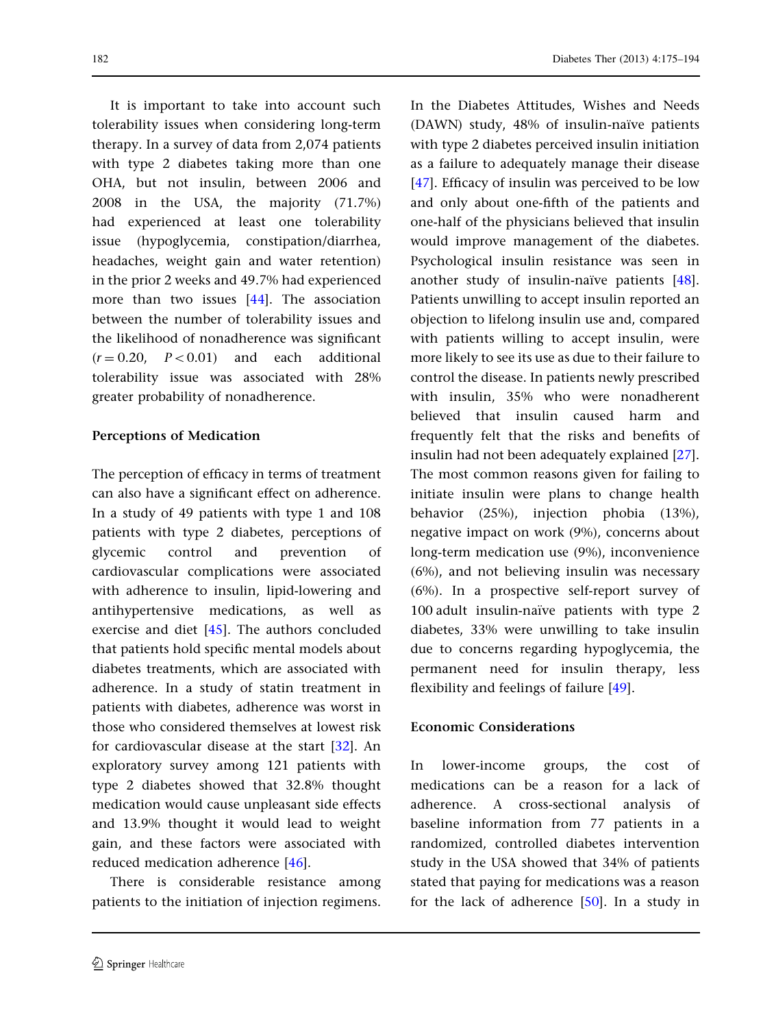It is important to take into account such tolerability issues when considering long-term therapy. In a survey of data from 2,074 patients with type 2 diabetes taking more than one OHA, but not insulin, between 2006 and 2008 in the USA, the majority (71.7%) had experienced at least one tolerability issue (hypoglycemia, constipation/diarrhea, headaches, weight gain and water retention) in the prior 2 weeks and 49.7% had experienced more than two issues [\[44\]](#page-17-0). The association between the number of tolerability issues and the likelihood of nonadherence was significant  $(r = 0.20, P < 0.01)$  and each additional tolerability issue was associated with 28% greater probability of nonadherence.

#### Perceptions of Medication

The perception of efficacy in terms of treatment can also have a significant effect on adherence. In a study of 49 patients with type 1 and 108 patients with type 2 diabetes, perceptions of glycemic control and prevention of cardiovascular complications were associated with adherence to insulin, lipid-lowering and antihypertensive medications, as well as exercise and diet [\[45\]](#page-17-0). The authors concluded that patients hold specific mental models about diabetes treatments, which are associated with adherence. In a study of statin treatment in patients with diabetes, adherence was worst in those who considered themselves at lowest risk for cardiovascular disease at the start [[32](#page-16-0)]. An exploratory survey among 121 patients with type 2 diabetes showed that 32.8% thought medication would cause unpleasant side effects and 13.9% thought it would lead to weight gain, and these factors were associated with reduced medication adherence [[46](#page-17-0)].

There is considerable resistance among patients to the initiation of injection regimens.

In the Diabetes Attitudes, Wishes and Needs  $(DAWN)$  study, 48% of insulin-naïve patients with type 2 diabetes perceived insulin initiation as a failure to adequately manage their disease [\[47\]](#page-17-0). Efficacy of insulin was perceived to be low and only about one-fifth of the patients and one-half of the physicians believed that insulin would improve management of the diabetes. Psychological insulin resistance was seen in another study of insulin-naïve patients  $[48]$  $[48]$  $[48]$ . Patients unwilling to accept insulin reported an objection to lifelong insulin use and, compared with patients willing to accept insulin, were more likely to see its use as due to their failure to control the disease. In patients newly prescribed with insulin, 35% who were nonadherent believed that insulin caused harm and frequently felt that the risks and benefits of insulin had not been adequately explained [[27](#page-16-0)]. The most common reasons given for failing to initiate insulin were plans to change health behavior (25%), injection phobia (13%), negative impact on work (9%), concerns about long-term medication use (9%), inconvenience (6%), and not believing insulin was necessary (6%). In a prospective self-report survey of 100 adult insulin-naïve patients with type 2 diabetes, 33% were unwilling to take insulin due to concerns regarding hypoglycemia, the permanent need for insulin therapy, less flexibility and feelings of failure [\[49\]](#page-17-0).

#### Economic Considerations

In lower-income groups, the cost of medications can be a reason for a lack of adherence. A cross-sectional analysis of baseline information from 77 patients in a randomized, controlled diabetes intervention study in the USA showed that 34% of patients stated that paying for medications was a reason for the lack of adherence [[50](#page-17-0)]. In a study in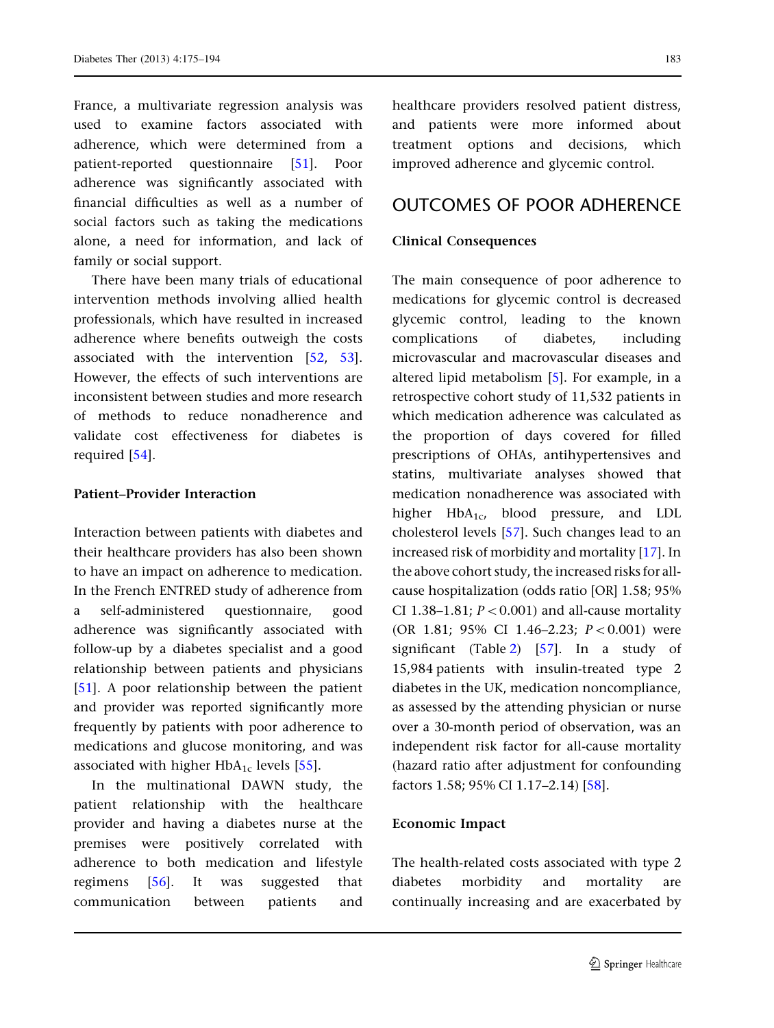France, a multivariate regression analysis was used to examine factors associated with adherence, which were determined from a patient-reported questionnaire [[51](#page-17-0)]. Poor adherence was significantly associated with financial difficulties as well as a number of social factors such as taking the medications alone, a need for information, and lack of family or social support.

There have been many trials of educational intervention methods involving allied health professionals, which have resulted in increased adherence where benefits outweigh the costs associated with the intervention [\[52,](#page-17-0) [53\]](#page-17-0). However, the effects of such interventions are inconsistent between studies and more research of methods to reduce nonadherence and validate cost effectiveness for diabetes is required [\[54\]](#page-17-0).

#### Patient–Provider Interaction

Interaction between patients with diabetes and their healthcare providers has also been shown to have an impact on adherence to medication. In the French ENTRED study of adherence from a self-administered questionnaire, good adherence was significantly associated with follow-up by a diabetes specialist and a good relationship between patients and physicians [\[51](#page-17-0)]. A poor relationship between the patient and provider was reported significantly more frequently by patients with poor adherence to medications and glucose monitoring, and was associated with higher  $HbA_{1c}$  levels [[55](#page-17-0)].

In the multinational DAWN study, the patient relationship with the healthcare provider and having a diabetes nurse at the premises were positively correlated with adherence to both medication and lifestyle regimens [[56](#page-17-0)]. It was suggested that communication between patients and

healthcare providers resolved patient distress, and patients were more informed about treatment options and decisions, which improved adherence and glycemic control.

# OUTCOMES OF POOR ADHERENCE

### Clinical Consequences

The main consequence of poor adherence to medications for glycemic control is decreased glycemic control, leading to the known complications of diabetes, including microvascular and macrovascular diseases and altered lipid metabolism [[5\]](#page-15-0). For example, in a retrospective cohort study of 11,532 patients in which medication adherence was calculated as the proportion of days covered for filled prescriptions of OHAs, antihypertensives and statins, multivariate analyses showed that medication nonadherence was associated with higher  $HbA_{1c}$ , blood pressure, and LDL cholesterol levels [[57](#page-17-0)]. Such changes lead to an increased risk of morbidity and mortality [[17](#page-16-0)]. In the above cohort study, the increased risks for allcause hospitalization (odds ratio [OR] 1.58; 95% CI 1.38-1.81;  $P < 0.001$ ) and all-cause mortality (OR 1.81; 95% CI 1.46-2.23;  $P < 0.001$ ) were significant (Table [2\)](#page-9-0) [\[57\]](#page-17-0). In a study of 15,984 patients with insulin-treated type 2 diabetes in the UK, medication noncompliance, as assessed by the attending physician or nurse over a 30-month period of observation, was an independent risk factor for all-cause mortality (hazard ratio after adjustment for confounding factors 1.58; 95% CI 1.17–2.14) [[58](#page-17-0)].

### Economic Impact

The health-related costs associated with type 2 diabetes morbidity and mortality are continually increasing and are exacerbated by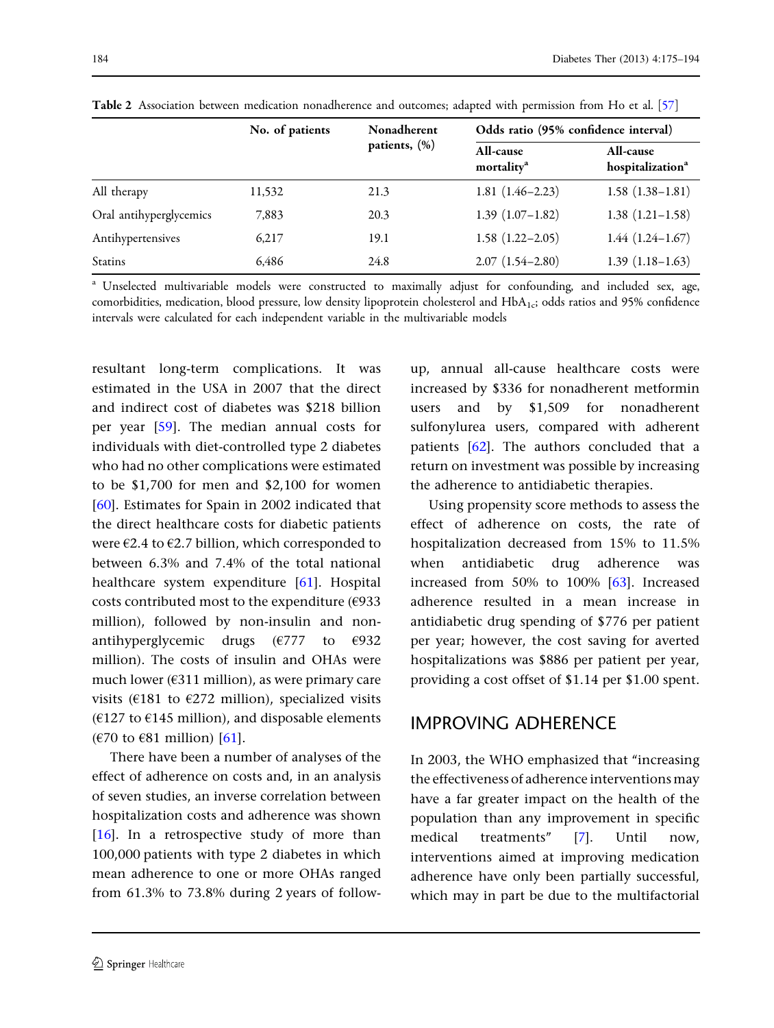|                         | No. of patients | Nonadherent   | Odds ratio (95% confidence interval) |                                                  |  |
|-------------------------|-----------------|---------------|--------------------------------------|--------------------------------------------------|--|
|                         |                 | patients, (%) | All-cause<br>mortality <sup>a</sup>  | <b>All-cause</b><br>hospitalization <sup>a</sup> |  |
| All therapy             | 11,532          | 21.3          | $1.81(1.46-2.23)$                    | $1.58(1.38-1.81)$                                |  |
| Oral antihyperglycemics | 7,883           | 20.3          | $1.39(1.07-1.82)$                    | $1.38(1.21-1.58)$                                |  |
| Antihypertensives       | 6,217           | 19.1          | $1.58(1.22 - 2.05)$                  | $1.44(1.24 - 1.67)$                              |  |
| Statins                 | 6,486           | 24.8          | $2.07(1.54 - 2.80)$                  | $1.39(1.18-1.63)$                                |  |

<span id="page-9-0"></span>Table 2 Association between medication nonadherence and outcomes; adapted with permission from Ho et al. [[57](#page-17-0)]

<sup>a</sup> Unselected multivariable models were constructed to maximally adjust for confounding, and included sex, age, comorbidities, medication, blood pressure, low density lipoprotein cholesterol and  $HbA_{1c}$ ; odds ratios and 95% confidence intervals were calculated for each independent variable in the multivariable models

resultant long-term complications. It was estimated in the USA in 2007 that the direct and indirect cost of diabetes was \$218 billion per year [[59](#page-17-0)]. The median annual costs for individuals with diet-controlled type 2 diabetes who had no other complications were estimated to be \$1,700 for men and \$2,100 for women [\[60\]](#page-17-0). Estimates for Spain in 2002 indicated that the direct healthcare costs for diabetic patients were  $\epsilon$ 2.4 to  $\epsilon$ 2.7 billion, which corresponded to between 6.3% and 7.4% of the total national healthcare system expenditure [\[61\]](#page-17-0). Hospital costs contributed most to the expenditure (€933 million), followed by non-insulin and nonantihyperglycemic drugs ( $\epsilon$ 777 to  $\epsilon$ 932 million). The costs of insulin and OHAs were much lower (€311 million), as were primary care visits ( $\epsilon$ 181 to  $\epsilon$ 272 million), specialized visits ( $E127$  to  $E145$  million), and disposable elements  $(670 \text{ to } 681 \text{ million})$  [\[61\]](#page-17-0).

There have been a number of analyses of the effect of adherence on costs and, in an analysis of seven studies, an inverse correlation between hospitalization costs and adherence was shown [\[16\]](#page-15-0). In a retrospective study of more than 100,000 patients with type 2 diabetes in which mean adherence to one or more OHAs ranged from 61.3% to 73.8% during 2 years of followup, annual all-cause healthcare costs were increased by \$336 for nonadherent metformin users and by \$1,509 for nonadherent sulfonylurea users, compared with adherent patients [\[62\]](#page-17-0). The authors concluded that a return on investment was possible by increasing the adherence to antidiabetic therapies.

Using propensity score methods to assess the effect of adherence on costs, the rate of hospitalization decreased from 15% to 11.5% when antidiabetic drug adherence was increased from 50% to 100% [\[63\]](#page-17-0). Increased adherence resulted in a mean increase in antidiabetic drug spending of \$776 per patient per year; however, the cost saving for averted hospitalizations was \$886 per patient per year, providing a cost offset of \$1.14 per \$1.00 spent.

# IMPROVING ADHERENCE

In 2003, the WHO emphasized that ''increasing the effectiveness of adherence interventions may have a far greater impact on the health of the population than any improvement in specific medical treatments'' [[7\]](#page-15-0). Until now, interventions aimed at improving medication adherence have only been partially successful, which may in part be due to the multifactorial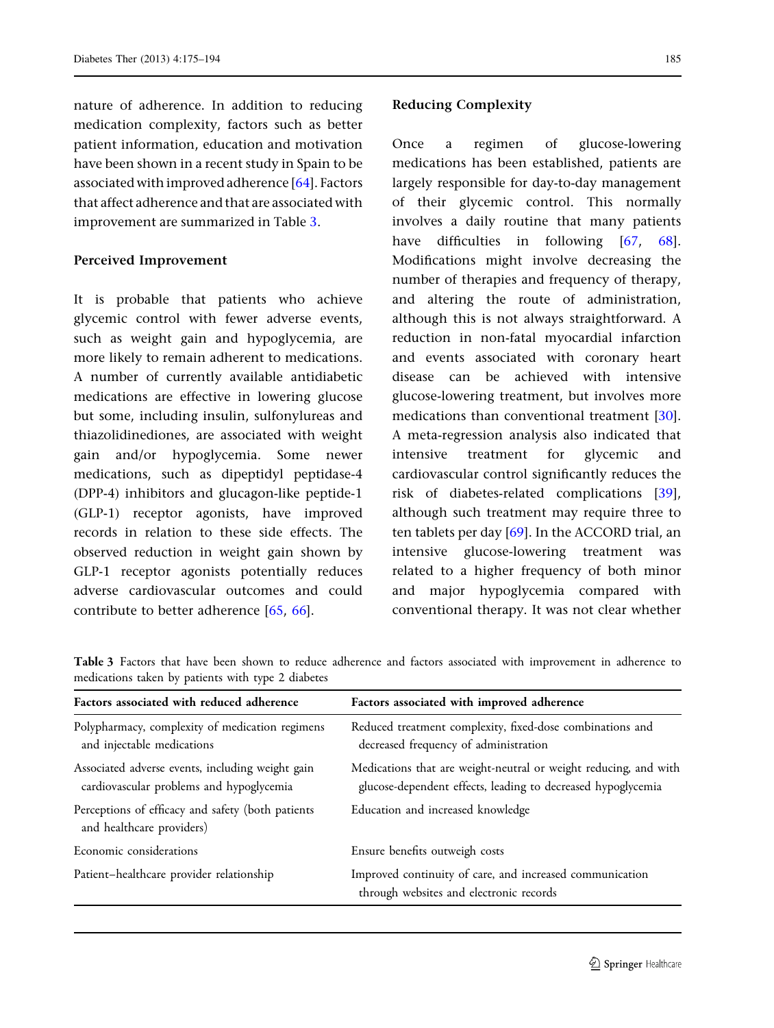nature of adherence. In addition to reducing medication complexity, factors such as better patient information, education and motivation have been shown in a recent study in Spain to be associated with improved adherence [\[64\]](#page-17-0). Factors that affect adherence and that are associated with improvement are summarized in Table 3.

### Perceived Improvement

It is probable that patients who achieve glycemic control with fewer adverse events, such as weight gain and hypoglycemia, are more likely to remain adherent to medications. A number of currently available antidiabetic medications are effective in lowering glucose but some, including insulin, sulfonylureas and thiazolidinediones, are associated with weight gain and/or hypoglycemia. Some newer medications, such as dipeptidyl peptidase-4 (DPP-4) inhibitors and glucagon-like peptide-1 (GLP-1) receptor agonists, have improved records in relation to these side effects. The observed reduction in weight gain shown by GLP-1 receptor agonists potentially reduces adverse cardiovascular outcomes and could contribute to better adherence [[65](#page-18-0), [66\]](#page-18-0).

### Reducing Complexity

Once a regimen of glucose-lowering medications has been established, patients are largely responsible for day-to-day management of their glycemic control. This normally involves a daily routine that many patients have difficulties in following [[67](#page-18-0), [68](#page-18-0)]. Modifications might involve decreasing the number of therapies and frequency of therapy, and altering the route of administration, although this is not always straightforward. A reduction in non-fatal myocardial infarction and events associated with coronary heart disease can be achieved with intensive glucose-lowering treatment, but involves more medications than conventional treatment [[30](#page-16-0)]. A meta-regression analysis also indicated that intensive treatment for glycemic and cardiovascular control significantly reduces the risk of diabetes-related complications [[39](#page-16-0)], although such treatment may require three to ten tablets per day [\[69\]](#page-18-0). In the ACCORD trial, an intensive glucose-lowering treatment was related to a higher frequency of both minor and major hypoglycemia compared with conventional therapy. It was not clear whether

Table 3 Factors that have been shown to reduce adherence and factors associated with improvement in adherence to medications taken by patients with type 2 diabetes

| Factors associated with reduced adherence                                                    | Factors associated with improved adherence                                                                                       |  |  |
|----------------------------------------------------------------------------------------------|----------------------------------------------------------------------------------------------------------------------------------|--|--|
| Polypharmacy, complexity of medication regimens<br>and injectable medications                | Reduced treatment complexity, fixed-dose combinations and<br>decreased frequency of administration                               |  |  |
| Associated adverse events, including weight gain<br>cardiovascular problems and hypoglycemia | Medications that are weight-neutral or weight reducing, and with<br>glucose-dependent effects, leading to decreased hypoglycemia |  |  |
| Perceptions of efficacy and safety (both patients<br>and healthcare providers)               | Education and increased knowledge                                                                                                |  |  |
| Economic considerations                                                                      | Ensure benefits outweigh costs                                                                                                   |  |  |
| Patient-healthcare provider relationship                                                     | Improved continuity of care, and increased communication<br>through websites and electronic records                              |  |  |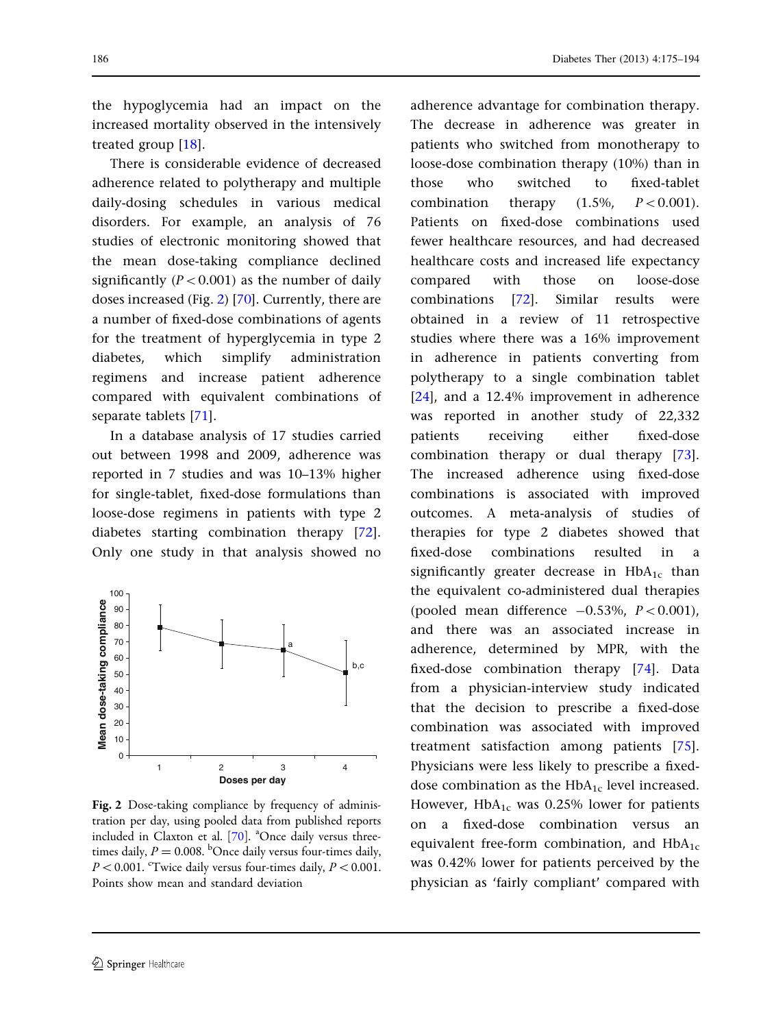the hypoglycemia had an impact on the increased mortality observed in the intensively treated group [[18](#page-16-0)].

There is considerable evidence of decreased adherence related to polytherapy and multiple daily-dosing schedules in various medical disorders. For example, an analysis of 76 studies of electronic monitoring showed that the mean dose-taking compliance declined significantly ( $P < 0.001$ ) as the number of daily doses increased (Fig. 2) [\[70\]](#page-18-0). Currently, there are a number of fixed-dose combinations of agents for the treatment of hyperglycemia in type 2 diabetes, which simplify administration regimens and increase patient adherence compared with equivalent combinations of separate tablets [\[71\]](#page-18-0).

In a database analysis of 17 studies carried out between 1998 and 2009, adherence was reported in 7 studies and was 10–13% higher for single-tablet, fixed-dose formulations than loose-dose regimens in patients with type 2 diabetes starting combination therapy [[72](#page-18-0)]. Only one study in that analysis showed no



Fig. 2 Dose-taking compliance by frequency of administration per day, using pooled data from published reports included in Claxton et al. [\[70\]](#page-18-0). <sup>a</sup>Once daily versus threetimes daily,  $P = 0.008$ . <sup>b</sup>Once daily versus four-times daily,  $P < 0.001$ . <sup>c</sup>Twice daily versus four-times daily,  $P < 0.001$ . Points show mean and standard deviation

adherence advantage for combination therapy. The decrease in adherence was greater in patients who switched from monotherapy to loose-dose combination therapy (10%) than in those who switched to fixed-tablet combination therapy  $(1.5\% \t P<0.001)$ . Patients on fixed-dose combinations used fewer healthcare resources, and had decreased healthcare costs and increased life expectancy compared with those on loose-dose combinations [[72](#page-18-0)]. Similar results were obtained in a review of 11 retrospective studies where there was a 16% improvement in adherence in patients converting from polytherapy to a single combination tablet [\[24\]](#page-16-0), and a 12.4% improvement in adherence was reported in another study of 22,332 patients receiving either fixed-dose combination therapy or dual therapy [[73](#page-18-0)]. The increased adherence using fixed-dose combinations is associated with improved outcomes. A meta-analysis of studies of therapies for type 2 diabetes showed that fixed-dose combinations resulted in a significantly greater decrease in  $HbA_{1c}$  than the equivalent co-administered dual therapies (pooled mean difference  $-0.53\%$ ,  $P < 0.001$ ), and there was an associated increase in adherence, determined by MPR, with the fixed-dose combination therapy [\[74\]](#page-18-0). Data from a physician-interview study indicated that the decision to prescribe a fixed-dose combination was associated with improved treatment satisfaction among patients [[75](#page-18-0)]. Physicians were less likely to prescribe a fixeddose combination as the  $HbA_{1c}$  level increased. However,  $HbA_{1c}$  was 0.25% lower for patients on a fixed-dose combination versus an equivalent free-form combination, and  $HbA_{1c}$ was 0.42% lower for patients perceived by the physician as 'fairly compliant' compared with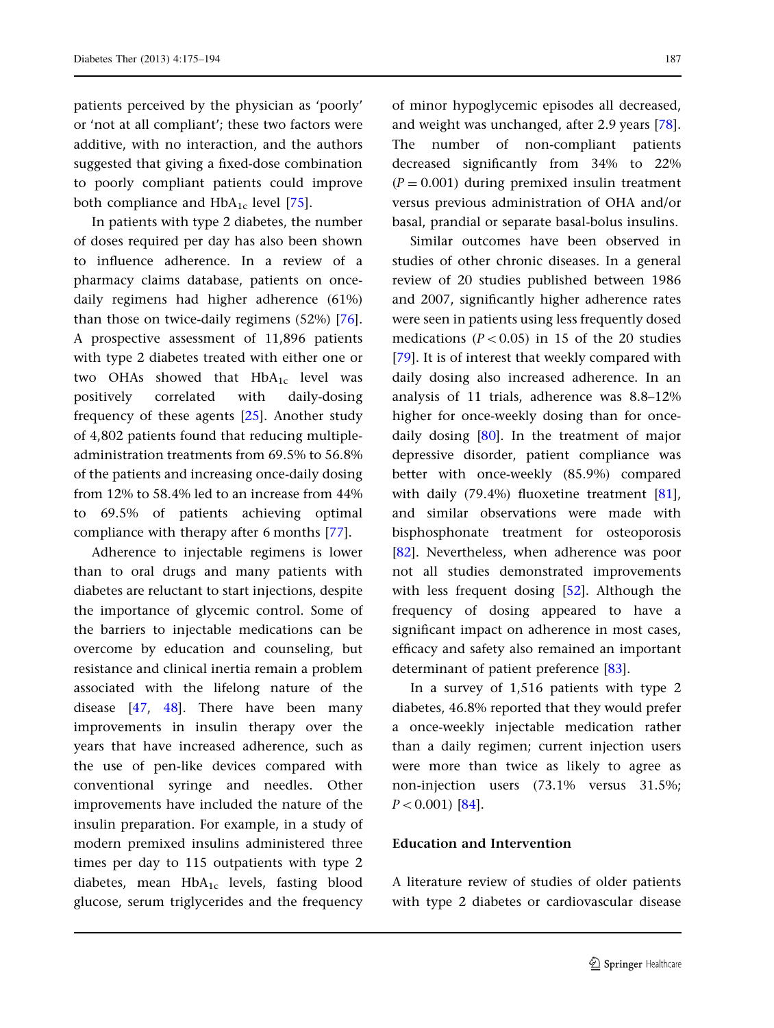patients perceived by the physician as 'poorly' or 'not at all compliant'; these two factors were additive, with no interaction, and the authors suggested that giving a fixed-dose combination to poorly compliant patients could improve both compliance and  $HbA_{1c}$  level [\[75\]](#page-18-0).

In patients with type 2 diabetes, the number of doses required per day has also been shown to influence adherence. In a review of a pharmacy claims database, patients on oncedaily regimens had higher adherence (61%) than those on twice-daily regimens (52%) [[76\]](#page-18-0). A prospective assessment of 11,896 patients with type 2 diabetes treated with either one or two OHAs showed that  $HbA_{1c}$  level was positively correlated with daily-dosing frequency of these agents [\[25\]](#page-16-0). Another study of 4,802 patients found that reducing multipleadministration treatments from 69.5% to 56.8% of the patients and increasing once-daily dosing from 12% to 58.4% led to an increase from 44% to 69.5% of patients achieving optimal compliance with therapy after 6 months [\[77\]](#page-18-0).

Adherence to injectable regimens is lower than to oral drugs and many patients with diabetes are reluctant to start injections, despite the importance of glycemic control. Some of the barriers to injectable medications can be overcome by education and counseling, but resistance and clinical inertia remain a problem associated with the lifelong nature of the disease [[47](#page-17-0), [48](#page-17-0)]. There have been many improvements in insulin therapy over the years that have increased adherence, such as the use of pen-like devices compared with conventional syringe and needles. Other improvements have included the nature of the insulin preparation. For example, in a study of modern premixed insulins administered three times per day to 115 outpatients with type 2 diabetes, mean  $HbA_{1c}$  levels, fasting blood glucose, serum triglycerides and the frequency of minor hypoglycemic episodes all decreased, and weight was unchanged, after 2.9 years [[78](#page-18-0)]. The number of non-compliant patients decreased significantly from 34% to 22%  $(P = 0.001)$  during premixed insulin treatment versus previous administration of OHA and/or basal, prandial or separate basal-bolus insulins.

Similar outcomes have been observed in studies of other chronic diseases. In a general review of 20 studies published between 1986 and 2007, significantly higher adherence rates were seen in patients using less frequently dosed medications ( $P < 0.05$ ) in 15 of the 20 studies [\[79\]](#page-18-0). It is of interest that weekly compared with daily dosing also increased adherence. In an analysis of 11 trials, adherence was 8.8–12% higher for once-weekly dosing than for oncedaily dosing [\[80\]](#page-18-0). In the treatment of major depressive disorder, patient compliance was better with once-weekly (85.9%) compared with daily (79.4%) fluoxetine treatment  $[81]$  $[81]$  $[81]$ , and similar observations were made with bisphosphonate treatment for osteoporosis [\[82\]](#page-18-0). Nevertheless, when adherence was poor not all studies demonstrated improvements with less frequent dosing [[52](#page-17-0)]. Although the frequency of dosing appeared to have a significant impact on adherence in most cases, efficacy and safety also remained an important determinant of patient preference [[83](#page-18-0)].

In a survey of 1,516 patients with type 2 diabetes, 46.8% reported that they would prefer a once-weekly injectable medication rather than a daily regimen; current injection users were more than twice as likely to agree as non-injection users (73.1% versus 31.5%;  $P < 0.001$  [\[84\]](#page-18-0).

### Education and Intervention

A literature review of studies of older patients with type 2 diabetes or cardiovascular disease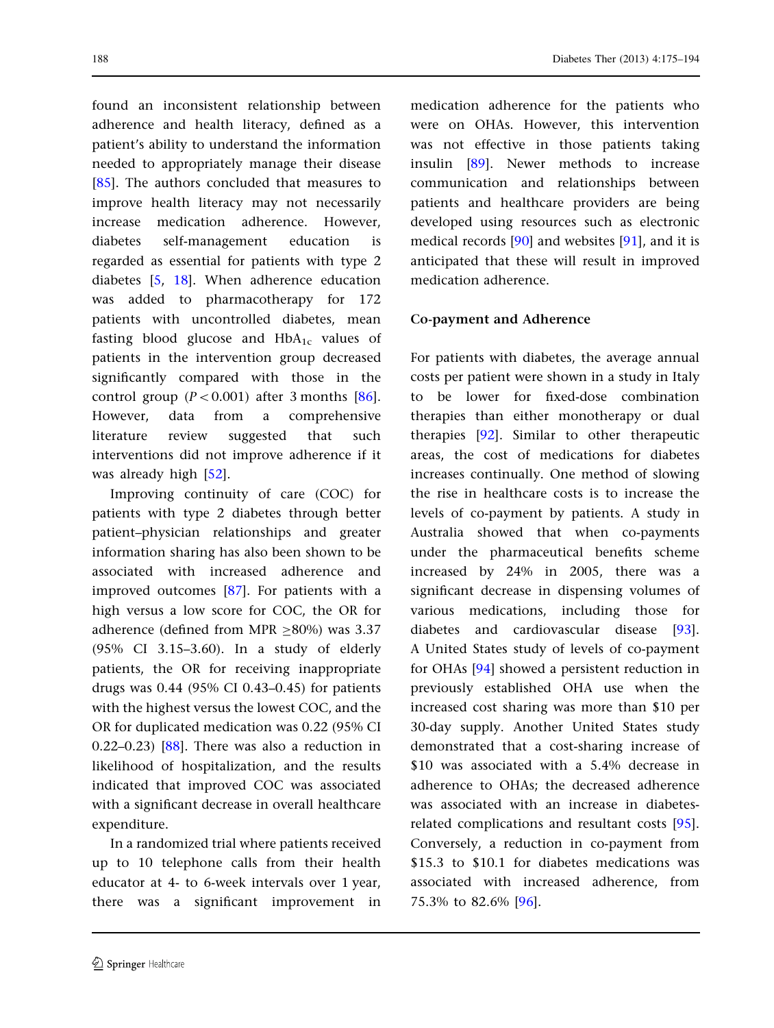found an inconsistent relationship between adherence and health literacy, defined as a patient's ability to understand the information needed to appropriately manage their disease [\[85\]](#page-18-0). The authors concluded that measures to improve health literacy may not necessarily increase medication adherence. However, diabetes self-management education is regarded as essential for patients with type 2 diabetes [\[5](#page-15-0), [18\]](#page-16-0). When adherence education was added to pharmacotherapy for 172 patients with uncontrolled diabetes, mean fasting blood glucose and  $HbA_{1c}$  values of patients in the intervention group decreased significantly compared with those in the control group  $(P<0.001)$  after 3 months [[86](#page-18-0)]. However, data from a comprehensive literature review suggested that such interventions did not improve adherence if it was already high [\[52](#page-17-0)].

Improving continuity of care (COC) for patients with type 2 diabetes through better patient–physician relationships and greater information sharing has also been shown to be associated with increased adherence and improved outcomes [\[87\]](#page-18-0). For patients with a high versus a low score for COC, the OR for adherence (defined from MPR  $>80\%$ ) was 3.37 (95% CI 3.15–3.60). In a study of elderly patients, the OR for receiving inappropriate drugs was 0.44 (95% CI 0.43–0.45) for patients with the highest versus the lowest COC, and the OR for duplicated medication was 0.22 (95% CI 0.22–0.23)  $[88]$ . There was also a reduction in likelihood of hospitalization, and the results indicated that improved COC was associated with a significant decrease in overall healthcare expenditure.

In a randomized trial where patients received up to 10 telephone calls from their health educator at 4- to 6-week intervals over 1 year, there was a significant improvement in

medication adherence for the patients who were on OHAs. However, this intervention was not effective in those patients taking insulin [\[89\]](#page-19-0). Newer methods to increase communication and relationships between patients and healthcare providers are being developed using resources such as electronic medical records [[90](#page-19-0)] and websites [[91](#page-19-0)], and it is anticipated that these will result in improved medication adherence.

#### Co-payment and Adherence

For patients with diabetes, the average annual costs per patient were shown in a study in Italy to be lower for fixed-dose combination therapies than either monotherapy or dual therapies [[92\]](#page-19-0). Similar to other therapeutic areas, the cost of medications for diabetes increases continually. One method of slowing the rise in healthcare costs is to increase the levels of co-payment by patients. A study in Australia showed that when co-payments under the pharmaceutical benefits scheme increased by 24% in 2005, there was a significant decrease in dispensing volumes of various medications, including those for diabetes and cardiovascular disease [[93](#page-19-0)]. A United States study of levels of co-payment for OHAs [\[94\]](#page-19-0) showed a persistent reduction in previously established OHA use when the increased cost sharing was more than \$10 per 30-day supply. Another United States study demonstrated that a cost-sharing increase of \$10 was associated with a 5.4% decrease in adherence to OHAs; the decreased adherence was associated with an increase in diabetesrelated complications and resultant costs [[95](#page-19-0)]. Conversely, a reduction in co-payment from \$15.3 to \$10.1 for diabetes medications was associated with increased adherence, from 75.3% to 82.6% [\[96\]](#page-19-0).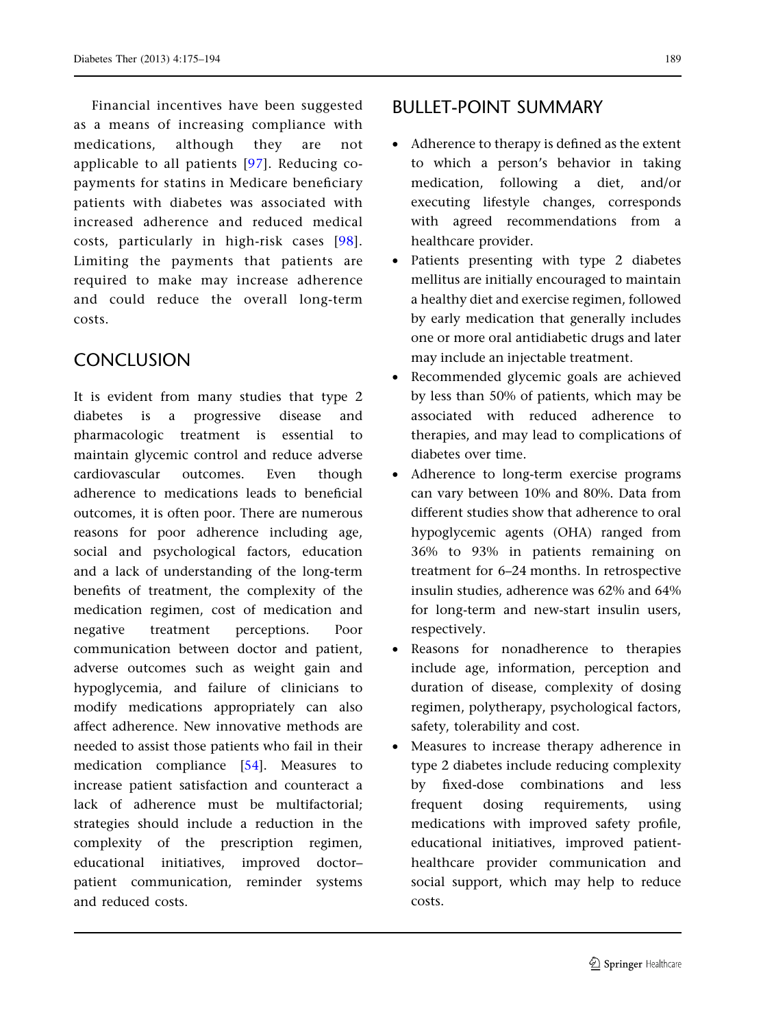Financial incentives have been suggested as a means of increasing compliance with medications, although they are not applicable to all patients [[97\]](#page-19-0). Reducing copayments for statins in Medicare beneficiary patients with diabetes was associated with increased adherence and reduced medical costs, particularly in high-risk cases [[98\]](#page-19-0). Limiting the payments that patients are required to make may increase adherence and could reduce the overall long-term costs.

# **CONCLUSION**

It is evident from many studies that type 2 diabetes is a progressive disease and pharmacologic treatment is essential to maintain glycemic control and reduce adverse cardiovascular outcomes. Even though adherence to medications leads to beneficial outcomes, it is often poor. There are numerous reasons for poor adherence including age, social and psychological factors, education and a lack of understanding of the long-term benefits of treatment, the complexity of the medication regimen, cost of medication and negative treatment perceptions. Poor communication between doctor and patient, adverse outcomes such as weight gain and hypoglycemia, and failure of clinicians to modify medications appropriately can also affect adherence. New innovative methods are needed to assist those patients who fail in their medication compliance [\[54\]](#page-17-0). Measures to increase patient satisfaction and counteract a lack of adherence must be multifactorial; strategies should include a reduction in the complexity of the prescription regimen, educational initiatives, improved doctor– patient communication, reminder systems and reduced costs.

# BULLET-POINT SUMMARY

- Adherence to therapy is defined as the extent to which a person's behavior in taking medication, following a diet, and/or executing lifestyle changes, corresponds with agreed recommendations from a healthcare provider.
- Patients presenting with type 2 diabetes mellitus are initially encouraged to maintain a healthy diet and exercise regimen, followed by early medication that generally includes one or more oral antidiabetic drugs and later may include an injectable treatment.
- Recommended glycemic goals are achieved by less than 50% of patients, which may be associated with reduced adherence to therapies, and may lead to complications of diabetes over time.
- Adherence to long-term exercise programs can vary between 10% and 80%. Data from different studies show that adherence to oral hypoglycemic agents (OHA) ranged from 36% to 93% in patients remaining on treatment for 6–24 months. In retrospective insulin studies, adherence was 62% and 64% for long-term and new-start insulin users, respectively.
- Reasons for nonadherence to therapies include age, information, perception and duration of disease, complexity of dosing regimen, polytherapy, psychological factors, safety, tolerability and cost.
- Measures to increase therapy adherence in type 2 diabetes include reducing complexity by fixed-dose combinations and less frequent dosing requirements, using medications with improved safety profile, educational initiatives, improved patienthealthcare provider communication and social support, which may help to reduce costs.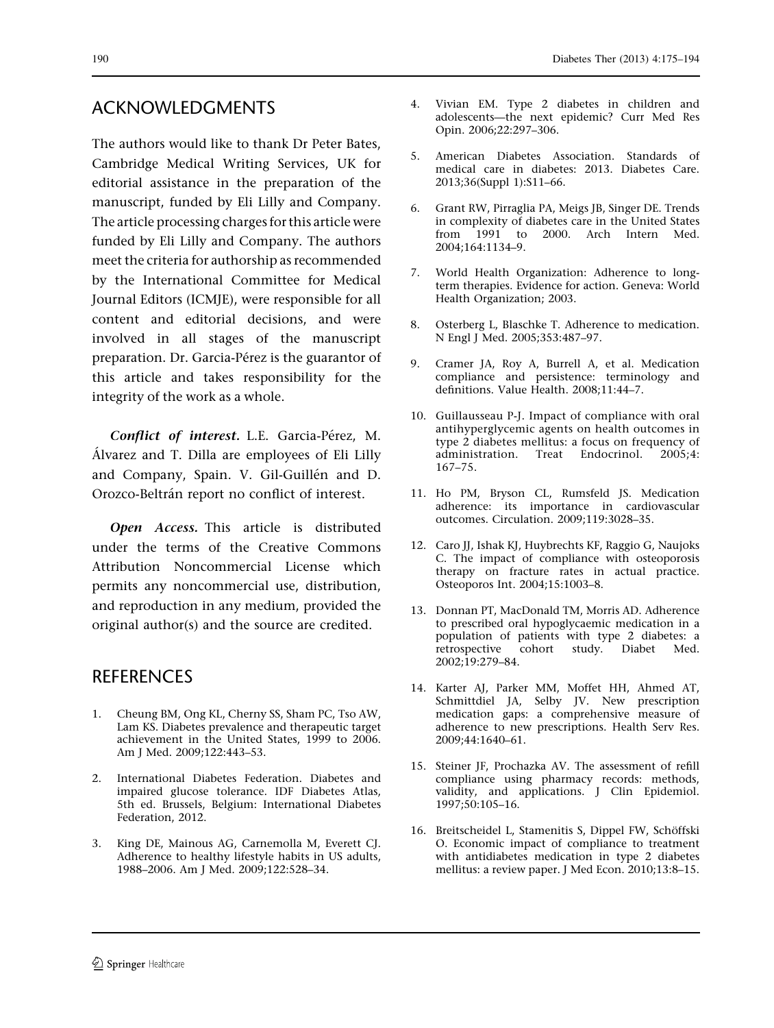# <span id="page-15-0"></span>ACKNOWLEDGMENTS

The authors would like to thank Dr Peter Bates, Cambridge Medical Writing Services, UK for editorial assistance in the preparation of the manuscript, funded by Eli Lilly and Company. The article processing charges for this article were funded by Eli Lilly and Company. The authors meet the criteria for authorship as recommended by the International Committee for Medical Journal Editors (ICMJE), were responsible for all content and editorial decisions, and were involved in all stages of the manuscript preparation. Dr. Garcia-Pérez is the guarantor of this article and takes responsibility for the integrity of the work as a whole.

Conflict of interest. L.E. Garcia-Pérez, M. A´lvarez and T. Dilla are employees of Eli Lilly and Company, Spain. V. Gil-Guillén and D. Orozco-Beltrán report no conflict of interest.

Open Access. This article is distributed under the terms of the Creative Commons Attribution Noncommercial License which permits any noncommercial use, distribution, and reproduction in any medium, provided the original author(s) and the source are credited.

# **REFERENCES**

- 1. Cheung BM, Ong KL, Cherny SS, Sham PC, Tso AW, Lam KS. Diabetes prevalence and therapeutic target achievement in the United States, 1999 to 2006. Am J Med. 2009;122:443–53.
- 2. International Diabetes Federation. Diabetes and impaired glucose tolerance. IDF Diabetes Atlas, 5th ed. Brussels, Belgium: International Diabetes Federation, 2012.
- 3. King DE, Mainous AG, Carnemolla M, Everett CJ. Adherence to healthy lifestyle habits in US adults, 1988–2006. Am J Med. 2009;122:528–34.
- 4. Vivian EM. Type 2 diabetes in children and adolescents—the next epidemic? Curr Med Res Opin. 2006;22:297–306.
- 5. American Diabetes Association. Standards of medical care in diabetes: 2013. Diabetes Care. 2013;36(Suppl 1):S11–66.
- 6. Grant RW, Pirraglia PA, Meigs JB, Singer DE. Trends in complexity of diabetes care in the United States from 1991 to 2000. Arch Intern Med. 2004;164:1134–9.
- 7. World Health Organization: Adherence to longterm therapies. Evidence for action. Geneva: World Health Organization; 2003.
- 8. Osterberg L, Blaschke T. Adherence to medication. N Engl J Med. 2005;353:487–97.
- 9. Cramer JA, Roy A, Burrell A, et al. Medication compliance and persistence: terminology and definitions. Value Health. 2008;11:44–7.
- 10. Guillausseau P-J. Impact of compliance with oral antihyperglycemic agents on health outcomes in type 2 diabetes mellitus: a focus on frequency of administration. Treat Endocrinol. 2005;4: 167–75.
- 11. Ho PM, Bryson CL, Rumsfeld JS. Medication adherence: its importance in cardiovascular outcomes. Circulation. 2009;119:3028–35.
- 12. Caro JJ, Ishak KJ, Huybrechts KF, Raggio G, Naujoks C. The impact of compliance with osteoporosis therapy on fracture rates in actual practice. Osteoporos Int. 2004;15:1003–8.
- 13. Donnan PT, MacDonald TM, Morris AD. Adherence to prescribed oral hypoglycaemic medication in a population of patients with type 2 diabetes: a retrospective cohort study. Diabet Med. 2002;19:279–84.
- 14. Karter AJ, Parker MM, Moffet HH, Ahmed AT, Schmittdiel JA, Selby JV. New prescription medication gaps: a comprehensive measure of adherence to new prescriptions. Health Serv Res. 2009;44:1640–61.
- 15. Steiner JF, Prochazka AV. The assessment of refill compliance using pharmacy records: methods, validity, and applications. J Clin Epidemiol. 1997;50:105–16.
- 16. Breitscheidel L, Stamenitis S, Dippel FW, Schöffski O. Economic impact of compliance to treatment with antidiabetes medication in type 2 diabetes mellitus: a review paper. J Med Econ. 2010;13:8–15.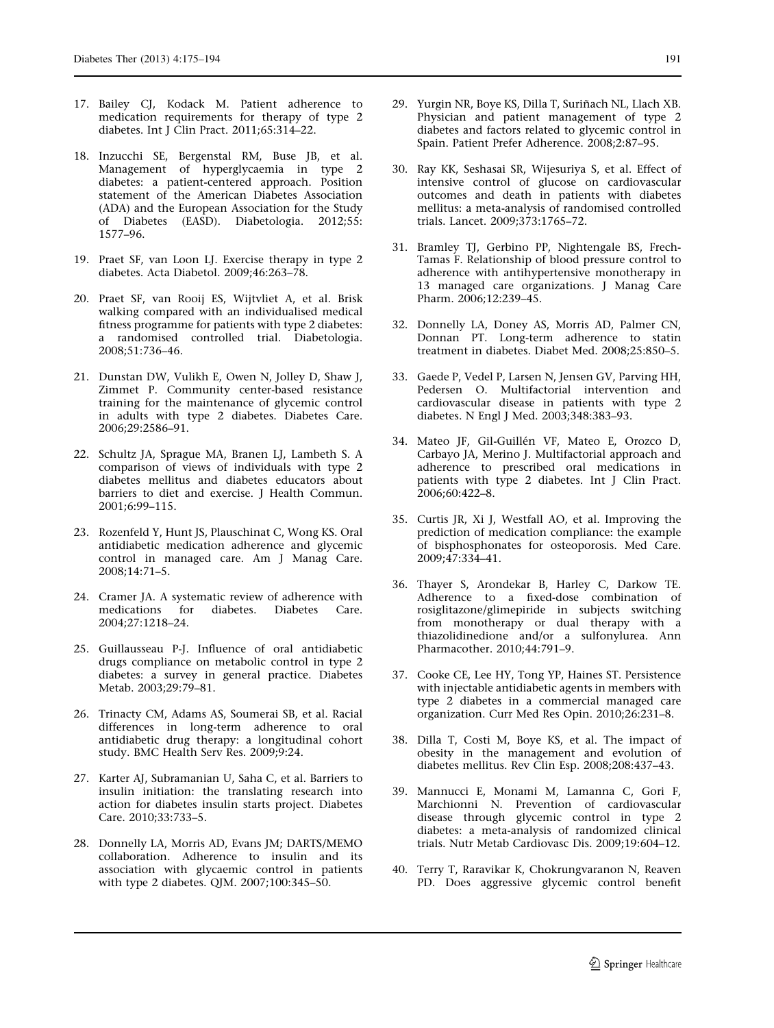- <span id="page-16-0"></span>17. Bailey CJ, Kodack M. Patient adherence to medication requirements for therapy of type 2 diabetes. Int J Clin Pract. 2011;65:314–22.
- 18. Inzucchi SE, Bergenstal RM, Buse JB, et al. Management of hyperglycaemia in type 2 diabetes: a patient-centered approach. Position statement of the American Diabetes Association (ADA) and the European Association for the Study of Diabetes (EASD). Diabetologia. 2012;55: 1577–96.
- 19. Praet SF, van Loon LJ. Exercise therapy in type 2 diabetes. Acta Diabetol. 2009;46:263–78.
- 20. Praet SF, van Rooij ES, Wijtvliet A, et al. Brisk walking compared with an individualised medical fitness programme for patients with type 2 diabetes: a randomised controlled trial. Diabetologia. 2008;51:736–46.
- 21. Dunstan DW, Vulikh E, Owen N, Jolley D, Shaw J, Zimmet P. Community center-based resistance training for the maintenance of glycemic control in adults with type 2 diabetes. Diabetes Care. 2006;29:2586–91.
- 22. Schultz JA, Sprague MA, Branen LJ, Lambeth S. A comparison of views of individuals with type 2 diabetes mellitus and diabetes educators about barriers to diet and exercise. J Health Commun. 2001;6:99–115.
- 23. Rozenfeld Y, Hunt JS, Plauschinat C, Wong KS. Oral antidiabetic medication adherence and glycemic control in managed care. Am J Manag Care. 2008;14:71–5.
- 24. Cramer JA. A systematic review of adherence with medications for diabetes. Diabetes Care. 2004;27:1218–24.
- 25. Guillausseau P-J. Influence of oral antidiabetic drugs compliance on metabolic control in type 2 diabetes: a survey in general practice. Diabetes Metab. 2003;29:79–81.
- 26. Trinacty CM, Adams AS, Soumerai SB, et al. Racial differences in long-term adherence to oral antidiabetic drug therapy: a longitudinal cohort study. BMC Health Serv Res. 2009;9:24.
- 27. Karter AJ, Subramanian U, Saha C, et al. Barriers to insulin initiation: the translating research into action for diabetes insulin starts project. Diabetes Care. 2010;33:733–5.
- 28. Donnelly LA, Morris AD, Evans JM; DARTS/MEMO collaboration. Adherence to insulin and its association with glycaemic control in patients with type 2 diabetes. QJM. 2007;100:345–50.
- 29. Yurgin NR, Boye KS, Dilla T, Suriñach NL, Llach XB. Physician and patient management of type 2 diabetes and factors related to glycemic control in Spain. Patient Prefer Adherence. 2008;2:87–95.
- 30. Ray KK, Seshasai SR, Wijesuriya S, et al. Effect of intensive control of glucose on cardiovascular outcomes and death in patients with diabetes mellitus: a meta-analysis of randomised controlled trials. Lancet. 2009;373:1765–72.
- 31. Bramley TJ, Gerbino PP, Nightengale BS, Frech-Tamas F. Relationship of blood pressure control to adherence with antihypertensive monotherapy in 13 managed care organizations. J Manag Care Pharm. 2006;12:239–45.
- 32. Donnelly LA, Doney AS, Morris AD, Palmer CN, Donnan PT. Long-term adherence to statin treatment in diabetes. Diabet Med. 2008;25:850–5.
- 33. Gaede P, Vedel P, Larsen N, Jensen GV, Parving HH, Pedersen O. Multifactorial intervention and cardiovascular disease in patients with type 2 diabetes. N Engl J Med. 2003;348:383–93.
- 34. Mateo JF, Gil-Guillén VF, Mateo E, Orozco D, Carbayo JA, Merino J. Multifactorial approach and adherence to prescribed oral medications in patients with type 2 diabetes. Int J Clin Pract. 2006;60:422–8.
- 35. Curtis JR, Xi J, Westfall AO, et al. Improving the prediction of medication compliance: the example of bisphosphonates for osteoporosis. Med Care. 2009;47:334–41.
- 36. Thayer S, Arondekar B, Harley C, Darkow TE. Adherence to a fixed-dose combination of rosiglitazone/glimepiride in subjects switching from monotherapy or dual therapy with a thiazolidinedione and/or a sulfonylurea. Ann Pharmacother. 2010;44:791–9.
- 37. Cooke CE, Lee HY, Tong YP, Haines ST. Persistence with injectable antidiabetic agents in members with type 2 diabetes in a commercial managed care organization. Curr Med Res Opin. 2010;26:231–8.
- 38. Dilla T, Costi M, Boye KS, et al. The impact of obesity in the management and evolution of diabetes mellitus. Rev Clin Esp. 2008;208:437–43.
- 39. Mannucci E, Monami M, Lamanna C, Gori F, Marchionni N. Prevention of cardiovascular disease through glycemic control in type 2 diabetes: a meta-analysis of randomized clinical trials. Nutr Metab Cardiovasc Dis. 2009;19:604–12.
- 40. Terry T, Raravikar K, Chokrungvaranon N, Reaven PD. Does aggressive glycemic control benefit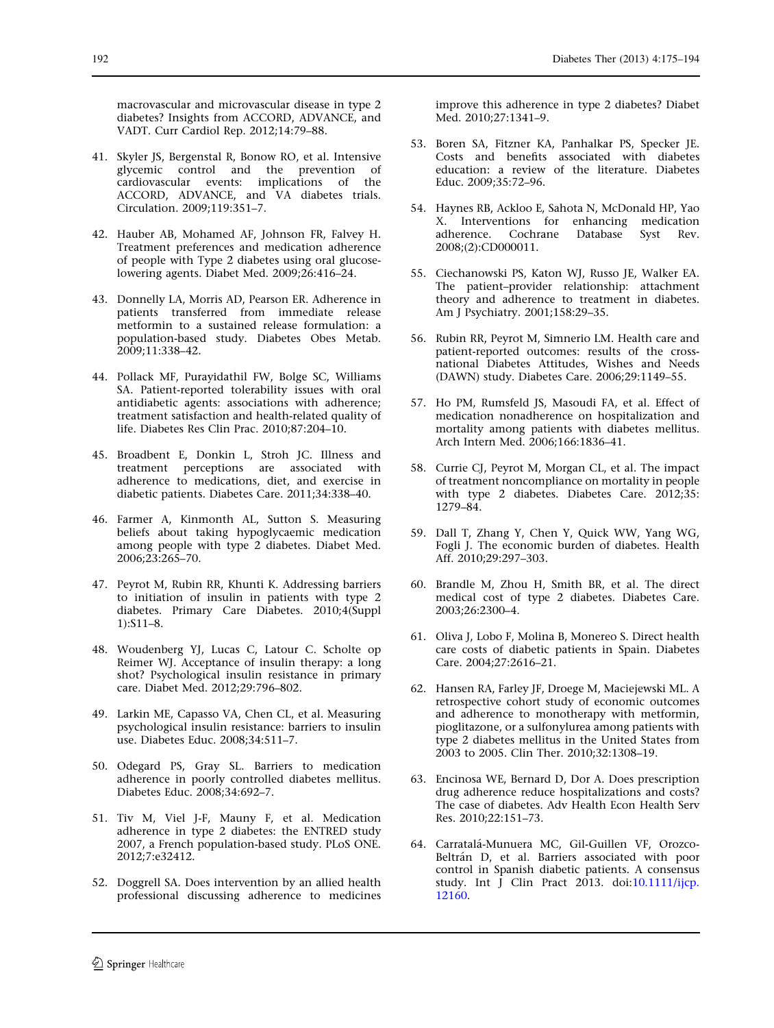<span id="page-17-0"></span>macrovascular and microvascular disease in type 2 diabetes? Insights from ACCORD, ADVANCE, and VADT. Curr Cardiol Rep. 2012;14:79–88.

- 41. Skyler JS, Bergenstal R, Bonow RO, et al. Intensive glycemic control and the prevention of cardiovascular events: implications of the ACCORD, ADVANCE, and VA diabetes trials. Circulation. 2009;119:351–7.
- 42. Hauber AB, Mohamed AF, Johnson FR, Falvey H. Treatment preferences and medication adherence of people with Type 2 diabetes using oral glucoselowering agents. Diabet Med. 2009;26:416–24.
- 43. Donnelly LA, Morris AD, Pearson ER. Adherence in patients transferred from immediate release metformin to a sustained release formulation: a population-based study. Diabetes Obes Metab. 2009;11:338–42.
- 44. Pollack MF, Purayidathil FW, Bolge SC, Williams SA. Patient-reported tolerability issues with oral antidiabetic agents: associations with adherence; treatment satisfaction and health-related quality of life. Diabetes Res Clin Prac. 2010;87:204–10.
- 45. Broadbent E, Donkin L, Stroh JC. Illness and treatment perceptions are associated with adherence to medications, diet, and exercise in diabetic patients. Diabetes Care. 2011;34:338–40.
- 46. Farmer A, Kinmonth AL, Sutton S. Measuring beliefs about taking hypoglycaemic medication among people with type 2 diabetes. Diabet Med. 2006;23:265–70.
- 47. Peyrot M, Rubin RR, Khunti K. Addressing barriers to initiation of insulin in patients with type 2 diabetes. Primary Care Diabetes. 2010;4(Suppl 1):S11–8.
- 48. Woudenberg YJ, Lucas C, Latour C. Scholte op Reimer WJ. Acceptance of insulin therapy: a long shot? Psychological insulin resistance in primary care. Diabet Med. 2012;29:796–802.
- 49. Larkin ME, Capasso VA, Chen CL, et al. Measuring psychological insulin resistance: barriers to insulin use. Diabetes Educ. 2008;34:511–7.
- 50. Odegard PS, Gray SL. Barriers to medication adherence in poorly controlled diabetes mellitus. Diabetes Educ. 2008;34:692–7.
- 51. Tiv M, Viel J-F, Mauny F, et al. Medication adherence in type 2 diabetes: the ENTRED study 2007, a French population-based study. PLoS ONE. 2012;7:e32412.
- 52. Doggrell SA. Does intervention by an allied health professional discussing adherence to medicines

improve this adherence in type 2 diabetes? Diabet Med. 2010;27:1341–9.

- 53. Boren SA, Fitzner KA, Panhalkar PS, Specker JE. Costs and benefits associated with diabetes education: a review of the literature. Diabetes Educ. 2009;35:72–96.
- 54. Haynes RB, Ackloo E, Sahota N, McDonald HP, Yao X. Interventions for enhancing medication adherence. Cochrane Database Syst Rev. 2008;(2):CD000011.
- 55. Ciechanowski PS, Katon WJ, Russo JE, Walker EA. The patient–provider relationship: attachment theory and adherence to treatment in diabetes. Am J Psychiatry. 2001;158:29–35.
- 56. Rubin RR, Peyrot M, Simnerio LM. Health care and patient-reported outcomes: results of the crossnational Diabetes Attitudes, Wishes and Needs (DAWN) study. Diabetes Care. 2006;29:1149–55.
- 57. Ho PM, Rumsfeld JS, Masoudi FA, et al. Effect of medication nonadherence on hospitalization and mortality among patients with diabetes mellitus. Arch Intern Med. 2006;166:1836–41.
- 58. Currie CJ, Peyrot M, Morgan CL, et al. The impact of treatment noncompliance on mortality in people with type 2 diabetes. Diabetes Care. 2012;35: 1279–84.
- 59. Dall T, Zhang Y, Chen Y, Quick WW, Yang WG, Fogli J. The economic burden of diabetes. Health Aff. 2010;29:297–303.
- 60. Brandle M, Zhou H, Smith BR, et al. The direct medical cost of type 2 diabetes. Diabetes Care. 2003;26:2300–4.
- 61. Oliva J, Lobo F, Molina B, Monereo S. Direct health care costs of diabetic patients in Spain. Diabetes Care. 2004;27:2616–21.
- 62. Hansen RA, Farley JF, Droege M, Maciejewski ML. A retrospective cohort study of economic outcomes and adherence to monotherapy with metformin, pioglitazone, or a sulfonylurea among patients with type 2 diabetes mellitus in the United States from 2003 to 2005. Clin Ther. 2010;32:1308–19.
- 63. Encinosa WE, Bernard D, Dor A. Does prescription drug adherence reduce hospitalizations and costs? The case of diabetes. Adv Health Econ Health Serv Res. 2010;22:151–73.
- 64. Carratalá-Munuera MC, Gil-Guillen VF, Orozco-Beltrán D, et al. Barriers associated with poor control in Spanish diabetic patients. A consensus study. Int J Clin Pract 2013. doi:[10.1111/ijcp.](http://dx.doi.org/10.1111/ijcp.12160) [12160.](http://dx.doi.org/10.1111/ijcp.12160)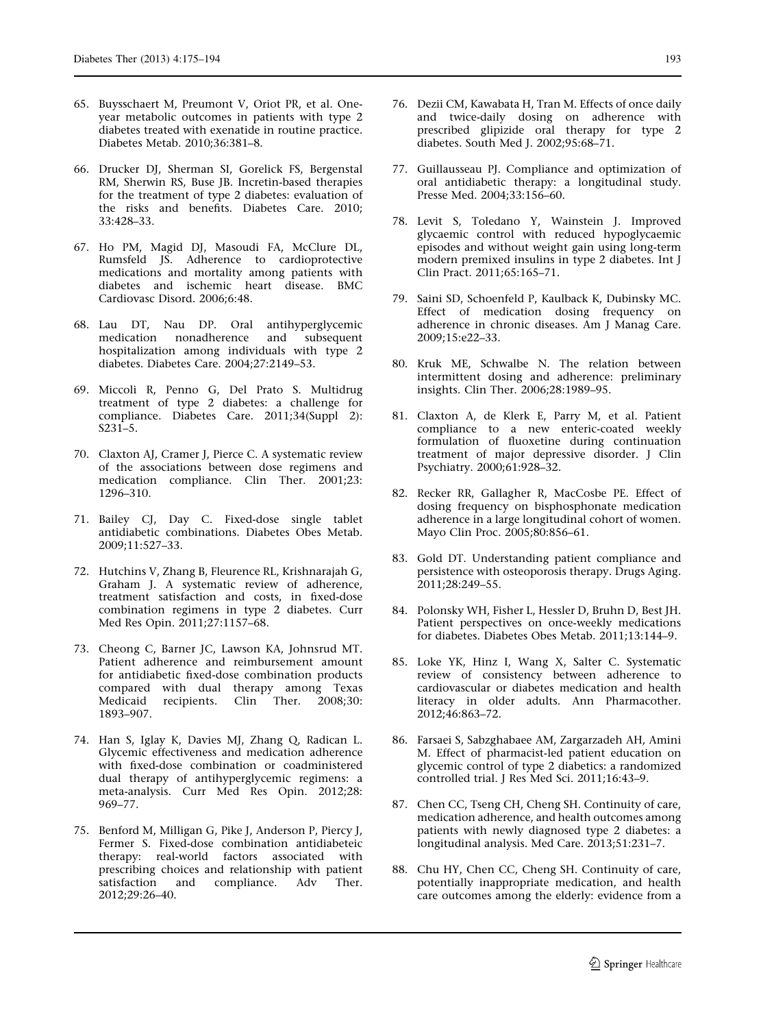- <span id="page-18-0"></span>65. Buysschaert M, Preumont V, Oriot PR, et al. Oneyear metabolic outcomes in patients with type 2 diabetes treated with exenatide in routine practice. Diabetes Metab. 2010;36:381–8.
- 66. Drucker DJ, Sherman SI, Gorelick FS, Bergenstal RM, Sherwin RS, Buse JB. Incretin-based therapies for the treatment of type 2 diabetes: evaluation of the risks and benefits. Diabetes Care. 2010; 33:428–33.
- 67. Ho PM, Magid DJ, Masoudi FA, McClure DL, Rumsfeld JS. Adherence to cardioprotective medications and mortality among patients with diabetes and ischemic heart disease. BMC Cardiovasc Disord. 2006;6:48.
- 68. Lau DT, Nau DP. Oral antihyperglycemic medication nonadherence and subsequent hospitalization among individuals with type 2 diabetes. Diabetes Care. 2004;27:2149–53.
- 69. Miccoli R, Penno G, Del Prato S. Multidrug treatment of type 2 diabetes: a challenge for compliance. Diabetes Care. 2011;34(Suppl 2): S231–5.
- 70. Claxton AJ, Cramer J, Pierce C. A systematic review of the associations between dose regimens and medication compliance. Clin Ther. 2001;23: 1296–310.
- 71. Bailey CJ, Day C. Fixed-dose single tablet antidiabetic combinations. Diabetes Obes Metab. 2009;11:527–33.
- 72. Hutchins V, Zhang B, Fleurence RL, Krishnarajah G, Graham J. A systematic review of adherence, treatment satisfaction and costs, in fixed-dose combination regimens in type 2 diabetes. Curr Med Res Opin. 2011;27:1157–68.
- 73. Cheong C, Barner JC, Lawson KA, Johnsrud MT. Patient adherence and reimbursement amount for antidiabetic fixed-dose combination products compared with dual therapy among Texas Medicaid recipients. Clin Ther. 2008;30: 1893–907.
- 74. Han S, Iglay K, Davies MJ, Zhang Q, Radican L. Glycemic effectiveness and medication adherence with fixed-dose combination or coadministered dual therapy of antihyperglycemic regimens: a meta-analysis. Curr Med Res Opin. 2012;28: 969–77.
- 75. Benford M, Milligan G, Pike J, Anderson P, Piercy J, Fermer S. Fixed-dose combination antidiabeteic therapy: real-world factors associated with prescribing choices and relationship with patient satisfaction and compliance. Adv Ther. 2012;29:26–40.
- 76. Dezii CM, Kawabata H, Tran M. Effects of once daily and twice-daily dosing on adherence with prescribed glipizide oral therapy for type 2 diabetes. South Med J. 2002;95:68–71.
- 77. Guillausseau PJ. Compliance and optimization of oral antidiabetic therapy: a longitudinal study. Presse Med. 2004;33:156–60.
- 78. Levit S, Toledano Y, Wainstein J. Improved glycaemic control with reduced hypoglycaemic episodes and without weight gain using long-term modern premixed insulins in type 2 diabetes. Int J Clin Pract. 2011;65:165–71.
- 79. Saini SD, Schoenfeld P, Kaulback K, Dubinsky MC. Effect of medication dosing frequency on adherence in chronic diseases. Am J Manag Care. 2009;15:e22–33.
- 80. Kruk ME, Schwalbe N. The relation between intermittent dosing and adherence: preliminary insights. Clin Ther. 2006;28:1989–95.
- 81. Claxton A, de Klerk E, Parry M, et al. Patient compliance to a new enteric-coated weekly formulation of fluoxetine during continuation treatment of major depressive disorder. J Clin Psychiatry. 2000;61:928–32.
- 82. Recker RR, Gallagher R, MacCosbe PE. Effect of dosing frequency on bisphosphonate medication adherence in a large longitudinal cohort of women. Mayo Clin Proc. 2005;80:856–61.
- 83. Gold DT. Understanding patient compliance and persistence with osteoporosis therapy. Drugs Aging. 2011;28:249–55.
- 84. Polonsky WH, Fisher L, Hessler D, Bruhn D, Best JH. Patient perspectives on once-weekly medications for diabetes. Diabetes Obes Metab. 2011;13:144–9.
- 85. Loke YK, Hinz I, Wang X, Salter C. Systematic review of consistency between adherence to cardiovascular or diabetes medication and health literacy in older adults. Ann Pharmacother. 2012;46:863–72.
- 86. Farsaei S, Sabzghabaee AM, Zargarzadeh AH, Amini M. Effect of pharmacist-led patient education on glycemic control of type 2 diabetics: a randomized controlled trial. J Res Med Sci. 2011;16:43–9.
- 87. Chen CC, Tseng CH, Cheng SH. Continuity of care, medication adherence, and health outcomes among patients with newly diagnosed type 2 diabetes: a longitudinal analysis. Med Care. 2013;51:231–7.
- 88. Chu HY, Chen CC, Cheng SH. Continuity of care, potentially inappropriate medication, and health care outcomes among the elderly: evidence from a